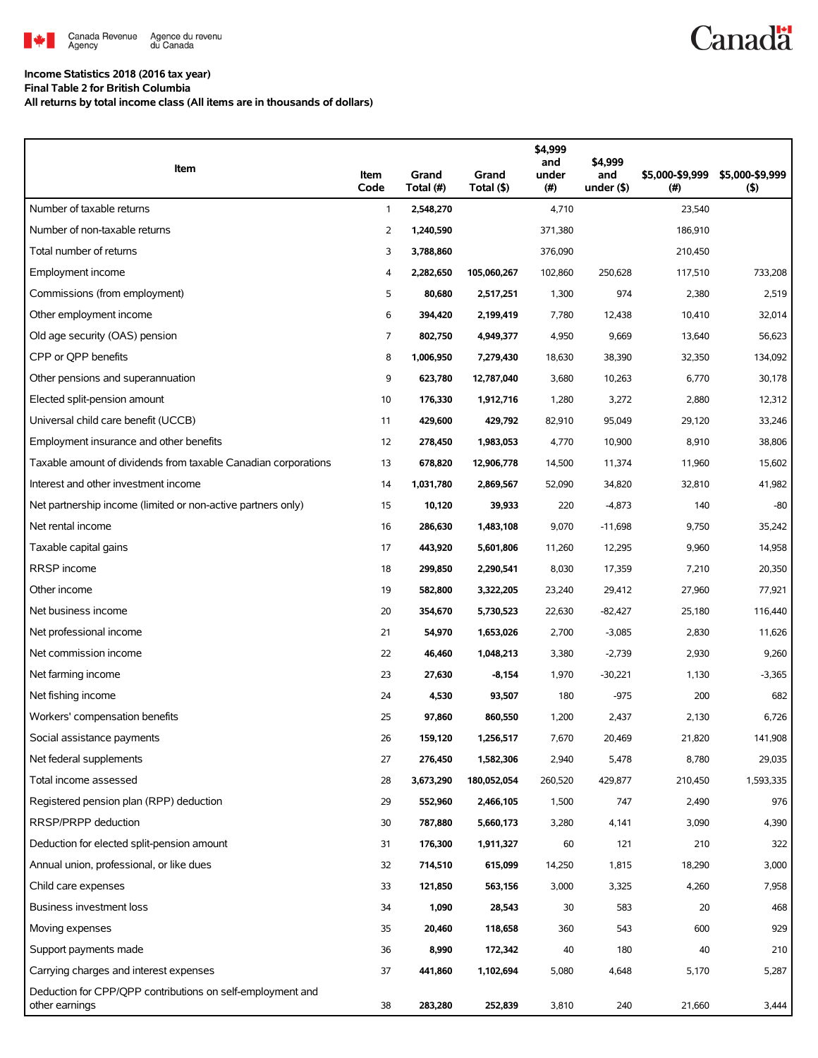

## **Income Statistics 2018 (2016 tax year) Final Table 2 for British Columbia**

**All returns by total income class (All items are in thousands of dollars)**

| Item                                                                         | Item<br>Code   | Grand<br>Total (#) | Grand<br>Total (\$) | \$4,999<br>and<br>under<br>$(\#)$ | \$4,999<br>and<br>under $($ \$) | \$5,000-\$9,999<br>(# ) | \$5,000-\$9,999<br>$($ \$) |
|------------------------------------------------------------------------------|----------------|--------------------|---------------------|-----------------------------------|---------------------------------|-------------------------|----------------------------|
| Number of taxable returns                                                    | $\mathbf{1}$   | 2,548,270          |                     | 4,710                             |                                 | 23,540                  |                            |
| Number of non-taxable returns                                                | $\overline{2}$ | 1,240,590          |                     | 371,380                           |                                 | 186,910                 |                            |
| Total number of returns                                                      | 3              | 3,788,860          |                     | 376,090                           |                                 | 210,450                 |                            |
| Employment income                                                            | 4              | 2,282,650          | 105,060,267         | 102,860                           | 250,628                         | 117,510                 | 733,208                    |
| Commissions (from employment)                                                | 5              | 80,680             | 2,517,251           | 1,300                             | 974                             | 2,380                   | 2,519                      |
| Other employment income                                                      | 6              | 394,420            | 2,199,419           | 7,780                             | 12,438                          | 10,410                  | 32,014                     |
| Old age security (OAS) pension                                               | 7              | 802,750            | 4,949,377           | 4,950                             | 9,669                           | 13,640                  | 56,623                     |
| CPP or OPP benefits                                                          | 8              | 1,006,950          | 7,279,430           | 18,630                            | 38,390                          | 32,350                  | 134,092                    |
| Other pensions and superannuation                                            | 9              | 623,780            | 12,787,040          | 3,680                             | 10,263                          | 6,770                   | 30,178                     |
| Elected split-pension amount                                                 | 10             | 176,330            | 1,912,716           | 1,280                             | 3,272                           | 2,880                   | 12,312                     |
| Universal child care benefit (UCCB)                                          | 11             | 429,600            | 429,792             | 82,910                            | 95,049                          | 29,120                  | 33,246                     |
| Employment insurance and other benefits                                      | 12             | 278,450            | 1,983,053           | 4,770                             | 10,900                          | 8,910                   | 38,806                     |
| Taxable amount of dividends from taxable Canadian corporations               | 13             | 678,820            | 12,906,778          | 14,500                            | 11,374                          | 11,960                  | 15,602                     |
| Interest and other investment income                                         | 14             | 1,031,780          | 2,869,567           | 52,090                            | 34,820                          | 32,810                  | 41,982                     |
| Net partnership income (limited or non-active partners only)                 | 15             | 10,120             | 39,933              | 220                               | $-4,873$                        | 140                     | $-80$                      |
| Net rental income                                                            | 16             | 286,630            | 1,483,108           | 9,070                             | $-11,698$                       | 9,750                   | 35,242                     |
| Taxable capital gains                                                        | 17             | 443,920            | 5,601,806           | 11,260                            | 12,295                          | 9,960                   | 14,958                     |
| RRSP income                                                                  | 18             | 299,850            | 2,290,541           | 8,030                             | 17,359                          | 7,210                   | 20,350                     |
| Other income                                                                 | 19             | 582,800            | 3,322,205           | 23,240                            | 29,412                          | 27,960                  | 77,921                     |
| Net business income                                                          | 20             | 354,670            | 5,730,523           | 22,630                            | $-82,427$                       | 25,180                  | 116,440                    |
| Net professional income                                                      | 21             | 54,970             | 1,653,026           | 2,700                             | $-3,085$                        | 2,830                   | 11,626                     |
| Net commission income                                                        | 22             | 46,460             | 1,048,213           | 3,380                             | $-2,739$                        | 2,930                   | 9,260                      |
| Net farming income                                                           | 23             | 27,630             | $-8,154$            | 1,970                             | $-30,221$                       | 1,130                   | $-3,365$                   |
| Net fishing income                                                           | 24             | 4,530              | 93,507              | 180                               | $-975$                          | 200                     | 682                        |
| Workers' compensation benefits                                               | 25             | 97,860             | 860,550             | 1,200                             | 2,437                           | 2,130                   | 6,726                      |
| Social assistance payments                                                   | 26             | 159,120            | 1,256,517           | 7,670                             | 20,469                          | 21,820                  | 141,908                    |
| Net federal supplements                                                      | 27             | 276,450            | 1,582,306           | 2,940                             | 5,478                           | 8,780                   | 29,035                     |
| Total income assessed                                                        | 28             | 3,673,290          | 180,052,054         | 260,520                           | 429,877                         | 210,450                 | 1,593,335                  |
| Registered pension plan (RPP) deduction                                      | 29             | 552,960            | 2,466,105           | 1,500                             | 747                             | 2,490                   | 976                        |
| RRSP/PRPP deduction                                                          | 30             | 787,880            | 5,660,173           | 3,280                             | 4,141                           | 3,090                   | 4,390                      |
| Deduction for elected split-pension amount                                   | 31             | 176,300            | 1,911,327           | 60                                | 121                             | 210                     | 322                        |
| Annual union, professional, or like dues                                     | 32             | 714,510            | 615,099             | 14,250                            | 1,815                           | 18,290                  | 3,000                      |
| Child care expenses                                                          | 33             | 121,850            | 563,156             | 3,000                             | 3,325                           | 4,260                   | 7,958                      |
| Business investment loss                                                     | 34             | 1,090              | 28,543              | 30                                | 583                             | 20                      | 468                        |
| Moving expenses                                                              | 35             | 20,460             | 118,658             | 360                               | 543                             | 600                     | 929                        |
| Support payments made                                                        | 36             | 8,990              | 172,342             | 40                                | 180                             | 40                      | 210                        |
| Carrying charges and interest expenses                                       | 37             | 441,860            | 1,102,694           | 5,080                             | 4,648                           | 5,170                   | 5,287                      |
| Deduction for CPP/QPP contributions on self-employment and<br>other earnings | 38             | 283,280            | 252,839             | 3,810                             | 240                             | 21,660                  | 3,444                      |

**Canadä**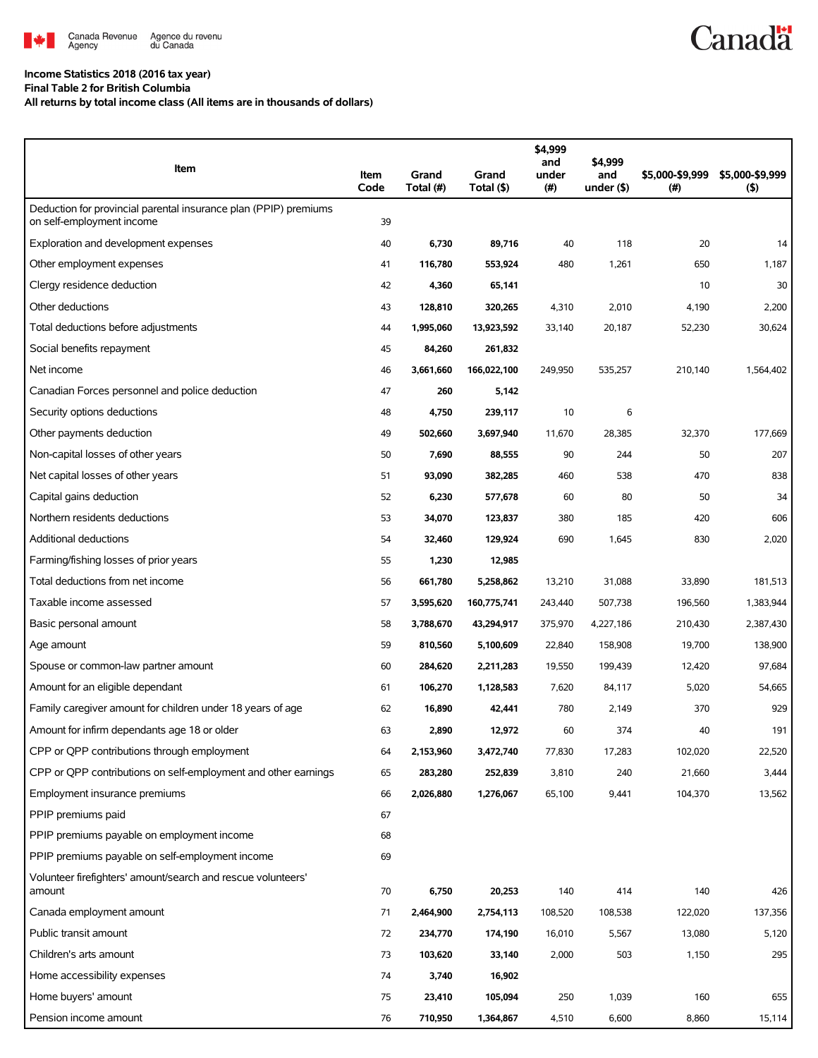

## **Income Statistics 2018 (2016 tax year)**

**Final Table 2 for British Columbia**

**All returns by total income class (All items are in thousands of dollars)**

| Item                                                                                          | Item<br>Code | Grand<br>Total (#) | Grand<br>Total (\$) | \$4,999<br>and<br>under<br>$(\#)$ | \$4,999<br>and<br>under $($ \$) | \$5,000-\$9,999<br>$($ # $)$ | \$5,000-\$9,999<br>$($ \$) |
|-----------------------------------------------------------------------------------------------|--------------|--------------------|---------------------|-----------------------------------|---------------------------------|------------------------------|----------------------------|
| Deduction for provincial parental insurance plan (PPIP) premiums<br>on self-employment income | 39           |                    |                     |                                   |                                 |                              |                            |
| Exploration and development expenses                                                          | 40           | 6,730              | 89,716              | 40                                | 118                             | 20                           | 14                         |
| Other employment expenses                                                                     | 41           | 116,780            | 553,924             | 480                               | 1,261                           | 650                          | 1,187                      |
| Clergy residence deduction                                                                    | 42           | 4,360              | 65,141              |                                   |                                 | 10                           | 30                         |
| Other deductions                                                                              | 43           | 128,810            | 320,265             | 4,310                             | 2,010                           | 4,190                        | 2,200                      |
| Total deductions before adjustments                                                           | 44           | 1,995,060          | 13,923,592          | 33,140                            | 20,187                          | 52,230                       | 30,624                     |
| Social benefits repayment                                                                     | 45           | 84,260             | 261,832             |                                   |                                 |                              |                            |
| Net income                                                                                    | 46           | 3,661,660          | 166,022,100         | 249,950                           | 535,257                         | 210,140                      | 1,564,402                  |
| Canadian Forces personnel and police deduction                                                | 47           | 260                | 5,142               |                                   |                                 |                              |                            |
| Security options deductions                                                                   | 48           | 4,750              | 239,117             | 10                                | 6                               |                              |                            |
| Other payments deduction                                                                      | 49           | 502,660            | 3,697,940           | 11,670                            | 28,385                          | 32,370                       | 177,669                    |
| Non-capital losses of other years                                                             | 50           | 7,690              | 88,555              | 90                                | 244                             | 50                           | 207                        |
| Net capital losses of other years                                                             | 51           | 93,090             | 382,285             | 460                               | 538                             | 470                          | 838                        |
| Capital gains deduction                                                                       | 52           | 6,230              | 577,678             | 60                                | 80                              | 50                           | 34                         |
| Northern residents deductions                                                                 | 53           | 34,070             | 123,837             | 380                               | 185                             | 420                          | 606                        |
| Additional deductions                                                                         | 54           | 32,460             | 129,924             | 690                               | 1,645                           | 830                          | 2,020                      |
| Farming/fishing losses of prior years                                                         | 55           | 1,230              | 12,985              |                                   |                                 |                              |                            |
| Total deductions from net income                                                              | 56           | 661,780            | 5,258,862           | 13,210                            | 31,088                          | 33,890                       | 181,513                    |
| Taxable income assessed                                                                       | 57           | 3,595,620          | 160,775,741         | 243,440                           | 507,738                         | 196,560                      | 1,383,944                  |
| Basic personal amount                                                                         | 58           | 3,788,670          | 43,294,917          | 375,970                           | 4,227,186                       | 210,430                      | 2,387,430                  |
| Age amount                                                                                    | 59           | 810,560            | 5,100,609           | 22,840                            | 158,908                         | 19,700                       | 138,900                    |
| Spouse or common-law partner amount                                                           | 60           | 284,620            | 2,211,283           | 19,550                            | 199,439                         | 12,420                       | 97,684                     |
| Amount for an eligible dependant                                                              | 61           | 106,270            | 1,128,583           | 7,620                             | 84,117                          | 5,020                        | 54,665                     |
| Family caregiver amount for children under 18 years of age                                    | 62           | 16,890             | 42,441              | 780                               | 2,149                           | 370                          | 929                        |
| Amount for infirm dependants age 18 or older                                                  | 63           | 2,890              | 12,972              | 60                                | 374                             | 40                           | 191                        |
| CPP or QPP contributions through employment                                                   | 64           | 2,153,960          | 3,472,740           | 77,830                            | 17,283                          | 102,020                      | 22,520                     |
| CPP or QPP contributions on self-employment and other earnings                                | 65           | 283,280            | 252,839             | 3,810                             | 240                             | 21,660                       | 3,444                      |
| Employment insurance premiums                                                                 | 66           | 2,026,880          | 1,276,067           | 65,100                            | 9,441                           | 104,370                      | 13,562                     |
| PPIP premiums paid                                                                            | 67           |                    |                     |                                   |                                 |                              |                            |
| PPIP premiums payable on employment income                                                    | 68           |                    |                     |                                   |                                 |                              |                            |
| PPIP premiums payable on self-employment income                                               | 69           |                    |                     |                                   |                                 |                              |                            |
| Volunteer firefighters' amount/search and rescue volunteers'<br>amount                        | 70           | 6,750              | 20,253              | 140                               | 414                             | 140                          | 426                        |
| Canada employment amount                                                                      | 71           | 2,464,900          | 2,754,113           | 108,520                           | 108,538                         | 122,020                      | 137,356                    |
| Public transit amount                                                                         | 72           | 234,770            | 174,190             | 16,010                            | 5,567                           | 13,080                       | 5,120                      |
| Children's arts amount                                                                        | 73           | 103,620            | 33,140              | 2,000                             | 503                             | 1,150                        | 295                        |
| Home accessibility expenses                                                                   | 74           | 3,740              | 16,902              |                                   |                                 |                              |                            |
| Home buyers' amount                                                                           | 75           | 23,410             | 105,094             | 250                               | 1,039                           | 160                          | 655                        |
| Pension income amount                                                                         | 76           | 710,950            | 1,364,867           | 4,510                             | 6,600                           | 8,860                        | 15,114                     |

**Canadä**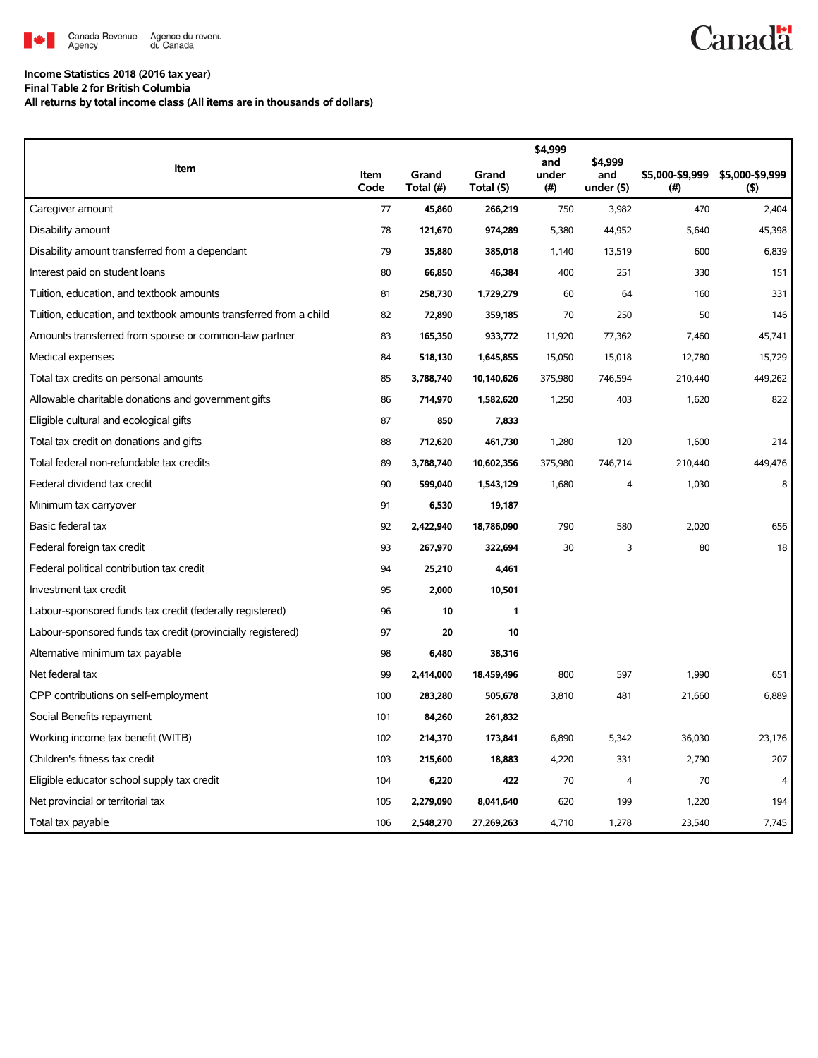

## **Income Statistics 2018 (2016 tax year)**

**Final Table 2 for British Columbia**

**All returns by total income class (All items are in thousands of dollars)**

| <b>Item</b>                                                       | Item<br>Code | Grand<br>Total (#) | Grand<br>Total (\$) | \$4,999<br>and<br>under<br>(#) | \$4.999<br>and<br>under $($ \$) | \$5,000-\$9,999<br>(#) | \$5,000-\$9,999<br>(5) |
|-------------------------------------------------------------------|--------------|--------------------|---------------------|--------------------------------|---------------------------------|------------------------|------------------------|
| Caregiver amount                                                  | 77           | 45,860             | 266,219             | 750                            | 3,982                           | 470                    | 2,404                  |
| Disability amount                                                 | 78           | 121,670            | 974,289             | 5,380                          | 44,952                          | 5,640                  | 45,398                 |
| Disability amount transferred from a dependant                    | 79           | 35,880             | 385,018             | 1,140                          | 13,519                          | 600                    | 6,839                  |
| Interest paid on student loans                                    | 80           | 66,850             | 46,384              | 400                            | 251                             | 330                    | 151                    |
| Tuition, education, and textbook amounts                          | 81           | 258,730            | 1,729,279           | 60                             | 64                              | 160                    | 331                    |
| Tuition, education, and textbook amounts transferred from a child | 82           | 72,890             | 359,185             | 70                             | 250                             | 50                     | 146                    |
| Amounts transferred from spouse or common-law partner             | 83           | 165,350            | 933,772             | 11,920                         | 77,362                          | 7,460                  | 45,741                 |
| Medical expenses                                                  | 84           | 518,130            | 1,645,855           | 15,050                         | 15,018                          | 12,780                 | 15,729                 |
| Total tax credits on personal amounts                             | 85           | 3,788,740          | 10,140,626          | 375,980                        | 746,594                         | 210,440                | 449,262                |
| Allowable charitable donations and government gifts               | 86           | 714,970            | 1,582,620           | 1,250                          | 403                             | 1,620                  | 822                    |
| Eligible cultural and ecological gifts                            | 87           | 850                | 7,833               |                                |                                 |                        |                        |
| Total tax credit on donations and gifts                           | 88           | 712,620            | 461,730             | 1,280                          | 120                             | 1,600                  | 214                    |
| Total federal non-refundable tax credits                          | 89           | 3,788,740          | 10,602,356          | 375,980                        | 746,714                         | 210,440                | 449,476                |
| Federal dividend tax credit                                       | 90           | 599,040            | 1,543,129           | 1,680                          | $\overline{4}$                  | 1,030                  | 8                      |
| Minimum tax carryover                                             | 91           | 6,530              | 19,187              |                                |                                 |                        |                        |
| Basic federal tax                                                 | 92           | 2,422,940          | 18,786,090          | 790                            | 580                             | 2,020                  | 656                    |
| Federal foreign tax credit                                        | 93           | 267,970            | 322,694             | 30                             | 3                               | 80                     | 18                     |
| Federal political contribution tax credit                         | 94           | 25,210             | 4,461               |                                |                                 |                        |                        |
| Investment tax credit                                             | 95           | 2,000              | 10,501              |                                |                                 |                        |                        |
| Labour-sponsored funds tax credit (federally registered)          | 96           | 10                 | 1                   |                                |                                 |                        |                        |
| Labour-sponsored funds tax credit (provincially registered)       | 97           | 20                 | 10                  |                                |                                 |                        |                        |
| Alternative minimum tax payable                                   | 98           | 6,480              | 38,316              |                                |                                 |                        |                        |
| Net federal tax                                                   | 99           | 2,414,000          | 18,459,496          | 800                            | 597                             | 1,990                  | 651                    |
| CPP contributions on self-employment                              | 100          | 283,280            | 505,678             | 3,810                          | 481                             | 21,660                 | 6,889                  |
| Social Benefits repayment                                         | 101          | 84,260             | 261,832             |                                |                                 |                        |                        |
| Working income tax benefit (WITB)                                 | 102          | 214,370            | 173,841             | 6,890                          | 5,342                           | 36,030                 | 23,176                 |
| Children's fitness tax credit                                     | 103          | 215,600            | 18,883              | 4,220                          | 331                             | 2,790                  | 207                    |
| Eligible educator school supply tax credit                        | 104          | 6,220              | 422                 | 70                             | 4                               | 70                     | 4                      |
| Net provincial or territorial tax                                 | 105          | 2,279,090          | 8,041,640           | 620                            | 199                             | 1,220                  | 194                    |
| Total tax payable                                                 | 106          | 2,548,270          | 27,269,263          | 4,710                          | 1,278                           | 23,540                 | 7,745                  |

**Canadä**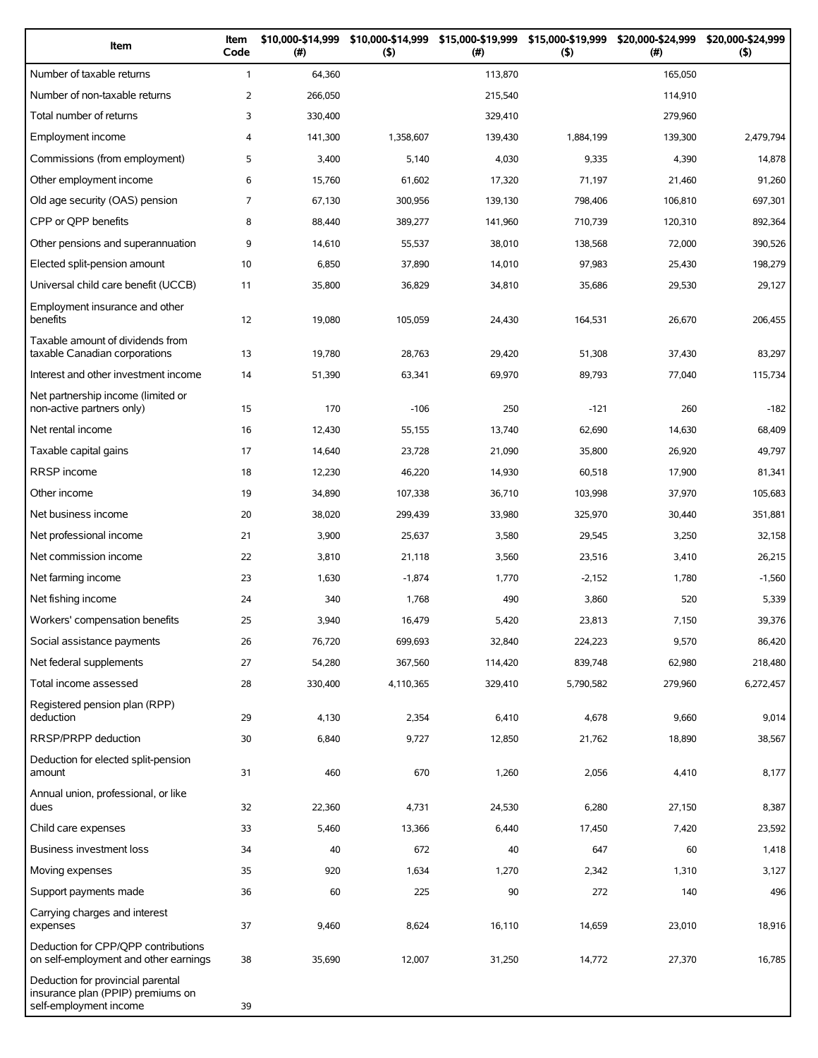| Item                                                                                             | Item<br>Code   | \$10,000-\$14,999<br>(#) | \$10,000-\$14,999<br>(5) | \$15,000-\$19,999<br>(# ) | \$15,000-\$19,999<br>(5) | \$20,000-\$24,999<br>(#) | \$20,000-\$24,999<br>(5) |
|--------------------------------------------------------------------------------------------------|----------------|--------------------------|--------------------------|---------------------------|--------------------------|--------------------------|--------------------------|
| Number of taxable returns                                                                        | $\mathbf{1}$   | 64,360                   |                          | 113,870                   |                          | 165,050                  |                          |
| Number of non-taxable returns                                                                    | 2              | 266,050                  |                          | 215,540                   |                          | 114,910                  |                          |
| Total number of returns                                                                          | 3              | 330,400                  |                          | 329,410                   |                          | 279,960                  |                          |
| Employment income                                                                                | 4              | 141,300                  | 1,358,607                | 139,430                   | 1,884,199                | 139,300                  | 2,479,794                |
| Commissions (from employment)                                                                    | 5              | 3,400                    | 5,140                    | 4,030                     | 9,335                    | 4,390                    | 14,878                   |
| Other employment income                                                                          | 6              | 15,760                   | 61,602                   | 17,320                    | 71,197                   | 21,460                   | 91,260                   |
| Old age security (OAS) pension                                                                   | $\overline{7}$ | 67,130                   | 300,956                  | 139,130                   | 798,406                  | 106,810                  | 697,301                  |
| CPP or QPP benefits                                                                              | 8              | 88,440                   | 389,277                  | 141,960                   | 710,739                  | 120,310                  | 892,364                  |
| Other pensions and superannuation                                                                | 9              | 14,610                   | 55,537                   | 38,010                    | 138,568                  | 72,000                   | 390,526                  |
| Elected split-pension amount                                                                     | 10             | 6,850                    | 37,890                   | 14,010                    | 97,983                   | 25,430                   | 198,279                  |
| Universal child care benefit (UCCB)                                                              | 11             | 35,800                   | 36,829                   | 34,810                    | 35,686                   | 29,530                   | 29,127                   |
| Employment insurance and other<br>benefits                                                       | 12             | 19,080                   | 105,059                  | 24,430                    | 164,531                  | 26,670                   | 206,455                  |
| Taxable amount of dividends from<br>taxable Canadian corporations                                | 13             | 19,780                   | 28,763                   | 29,420                    | 51,308                   | 37,430                   | 83,297                   |
| Interest and other investment income                                                             | 14             | 51,390                   | 63,341                   | 69,970                    | 89,793                   | 77,040                   | 115,734                  |
| Net partnership income (limited or<br>non-active partners only)                                  | 15             | 170                      | $-106$                   | 250                       | $-121$                   | 260                      | $-182$                   |
| Net rental income                                                                                | 16             | 12,430                   | 55,155                   | 13,740                    | 62,690                   | 14,630                   | 68,409                   |
| Taxable capital gains                                                                            | 17             | 14,640                   | 23,728                   | 21,090                    | 35,800                   | 26,920                   | 49,797                   |
| <b>RRSP</b> income                                                                               | 18             | 12,230                   | 46,220                   | 14,930                    | 60,518                   | 17,900                   | 81,341                   |
| Other income                                                                                     | 19             | 34,890                   | 107,338                  | 36,710                    | 103,998                  | 37,970                   | 105,683                  |
| Net business income                                                                              | 20             | 38,020                   | 299,439                  | 33,980                    | 325,970                  | 30,440                   | 351,881                  |
| Net professional income                                                                          | 21             | 3,900                    | 25,637                   | 3,580                     | 29,545                   | 3,250                    | 32,158                   |
| Net commission income                                                                            | 22             | 3,810                    | 21,118                   | 3,560                     | 23,516                   | 3,410                    | 26,215                   |
| Net farming income                                                                               | 23             | 1,630                    | $-1,874$                 | 1,770                     | $-2,152$                 | 1,780                    | $-1,560$                 |
| Net fishing income                                                                               | 24             | 340                      | 1,768                    | 490                       | 3,860                    | 520                      | 5,339                    |
| Workers' compensation benefits                                                                   | 25             | 3,940                    | 16,479                   | 5,420                     | 23,813                   | 7,150                    | 39,376                   |
| Social assistance payments                                                                       | 26             | 76,720                   | 699,693                  | 32,840                    | 224,223                  | 9,570                    | 86,420                   |
| Net federal supplements                                                                          | 27             | 54,280                   | 367,560                  | 114,420                   | 839,748                  | 62,980                   | 218,480                  |
| Total income assessed                                                                            | 28             | 330,400                  | 4,110,365                | 329,410                   | 5,790,582                | 279,960                  | 6,272,457                |
| Registered pension plan (RPP)<br>deduction                                                       | 29             | 4,130                    | 2,354                    | 6,410                     | 4,678                    | 9,660                    | 9,014                    |
| RRSP/PRPP deduction                                                                              | 30             | 6,840                    | 9,727                    | 12,850                    | 21,762                   | 18,890                   | 38,567                   |
| Deduction for elected split-pension<br>amount                                                    | 31             | 460                      | 670                      | 1,260                     | 2,056                    | 4,410                    | 8,177                    |
| Annual union, professional, or like<br>dues                                                      | 32             | 22,360                   | 4,731                    | 24,530                    | 6,280                    | 27,150                   | 8,387                    |
| Child care expenses                                                                              | 33             | 5,460                    | 13,366                   | 6,440                     | 17,450                   | 7,420                    | 23,592                   |
| Business investment loss                                                                         | 34             | 40                       | 672                      | 40                        | 647                      | 60                       | 1,418                    |
| Moving expenses                                                                                  | 35             | 920                      | 1,634                    | 1,270                     | 2,342                    | 1,310                    | 3,127                    |
| Support payments made                                                                            | 36             | 60                       | 225                      | 90                        | 272                      | 140                      | 496                      |
| Carrying charges and interest<br>expenses                                                        | 37             | 9,460                    | 8,624                    | 16,110                    | 14,659                   | 23,010                   | 18,916                   |
| Deduction for CPP/QPP contributions<br>on self-employment and other earnings                     | 38             | 35,690                   | 12,007                   | 31,250                    | 14,772                   | 27,370                   | 16,785                   |
| Deduction for provincial parental<br>insurance plan (PPIP) premiums on<br>self-employment income | 39             |                          |                          |                           |                          |                          |                          |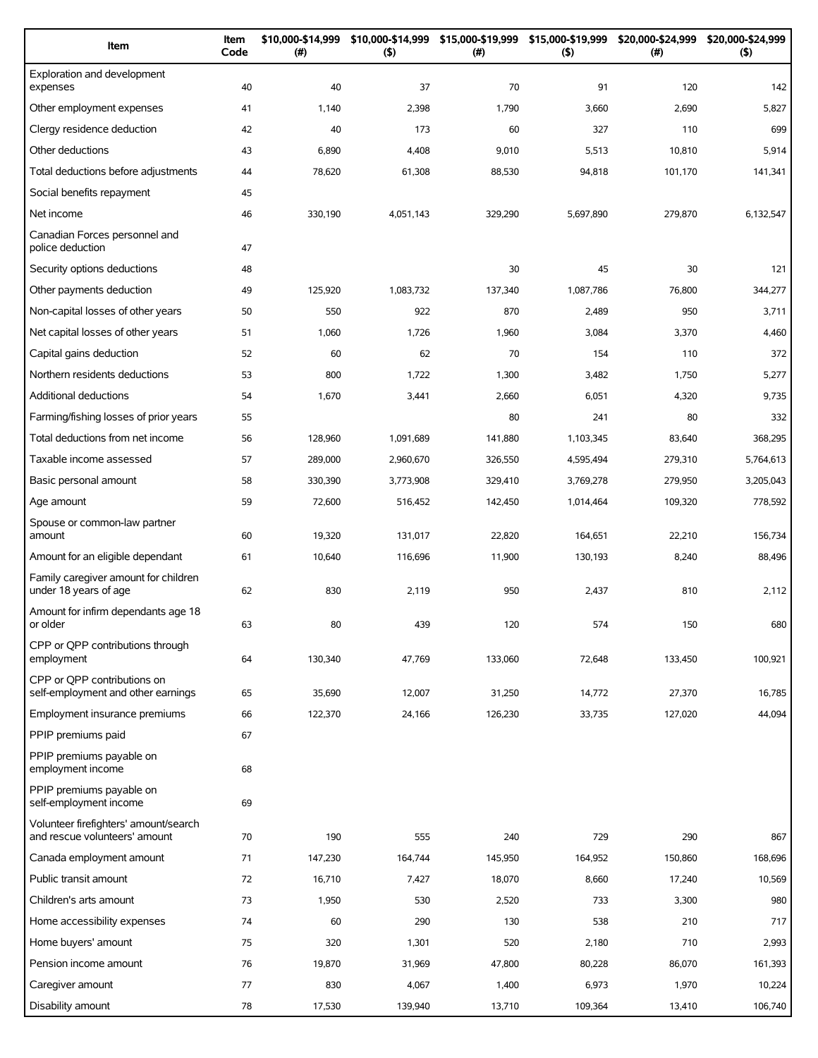| Item                                                                   | Item<br>Code | \$10,000-\$14,999<br>(#) | \$10,000-\$14,999<br>(5) | \$15,000-\$19,999<br>(#) | \$15,000-\$19,999<br>(5) | \$20,000-\$24,999<br>(#) | \$20,000-\$24,999<br>(5) |
|------------------------------------------------------------------------|--------------|--------------------------|--------------------------|--------------------------|--------------------------|--------------------------|--------------------------|
| Exploration and development<br>expenses                                | 40           | 40                       | 37                       | 70                       | 91                       | 120                      | 142                      |
| Other employment expenses                                              | 41           | 1,140                    | 2,398                    | 1,790                    | 3,660                    | 2,690                    | 5,827                    |
| Clergy residence deduction                                             | 42           | 40                       | 173                      | 60                       | 327                      | 110                      | 699                      |
| Other deductions                                                       | 43           | 6,890                    | 4,408                    | 9,010                    | 5,513                    | 10,810                   | 5,914                    |
| Total deductions before adjustments                                    | 44           | 78,620                   | 61,308                   | 88,530                   | 94,818                   | 101,170                  | 141,341                  |
| Social benefits repayment                                              | 45           |                          |                          |                          |                          |                          |                          |
| Net income                                                             | 46           | 330,190                  | 4,051,143                | 329,290                  | 5,697,890                | 279,870                  | 6,132,547                |
| Canadian Forces personnel and<br>police deduction                      | 47           |                          |                          |                          |                          |                          |                          |
| Security options deductions                                            | 48           |                          |                          | 30                       | 45                       | 30                       | 121                      |
| Other payments deduction                                               | 49           | 125,920                  | 1,083,732                | 137,340                  | 1,087,786                | 76,800                   | 344,277                  |
| Non-capital losses of other years                                      | 50           | 550                      | 922                      | 870                      | 2,489                    | 950                      | 3,711                    |
| Net capital losses of other years                                      | 51           | 1,060                    | 1,726                    | 1,960                    | 3,084                    | 3,370                    | 4,460                    |
| Capital gains deduction                                                | 52           | 60                       | 62                       | 70                       | 154                      | 110                      | 372                      |
| Northern residents deductions                                          | 53           | 800                      | 1,722                    | 1,300                    | 3,482                    | 1,750                    | 5,277                    |
| <b>Additional deductions</b>                                           | 54           | 1,670                    | 3,441                    | 2,660                    | 6,051                    | 4,320                    | 9,735                    |
| Farming/fishing losses of prior years                                  | 55           |                          |                          | 80                       | 241                      | 80                       | 332                      |
| Total deductions from net income                                       | 56           | 128,960                  | 1,091,689                | 141,880                  | 1,103,345                | 83,640                   | 368,295                  |
| Taxable income assessed                                                | 57           | 289,000                  | 2,960,670                | 326,550                  | 4,595,494                | 279,310                  | 5,764,613                |
| Basic personal amount                                                  | 58           | 330,390                  | 3,773,908                | 329,410                  | 3,769,278                | 279,950                  | 3,205,043                |
| Age amount                                                             | 59           | 72,600                   | 516,452                  | 142,450                  | 1,014,464                | 109,320                  | 778,592                  |
| Spouse or common-law partner<br>amount                                 | 60           | 19,320                   | 131,017                  | 22,820                   | 164,651                  | 22,210                   | 156,734                  |
| Amount for an eligible dependant                                       | 61           | 10,640                   | 116.696                  | 11,900                   | 130,193                  | 8,240                    | 88,496                   |
| Family caregiver amount for children<br>under 18 years of age          | 62           | 830                      | 2,119                    | 950                      | 2,437                    | 810                      | 2,112                    |
| Amount for infirm dependants age 18<br>or older                        | 63           | 80                       | 439                      | 120                      | 574                      | 150                      | 680                      |
| CPP or OPP contributions through<br>employment                         | 64           | 130,340                  | 47,769                   | 133,060                  | 72,648                   | 133,450                  | 100,921                  |
| CPP or OPP contributions on<br>self-employment and other earnings      | 65           | 35,690                   | 12,007                   | 31,250                   | 14,772                   | 27,370                   | 16,785                   |
| Employment insurance premiums                                          | 66           | 122,370                  | 24,166                   | 126,230                  | 33,735                   | 127,020                  | 44,094                   |
| PPIP premiums paid                                                     | 67           |                          |                          |                          |                          |                          |                          |
| PPIP premiums payable on<br>employment income                          | 68           |                          |                          |                          |                          |                          |                          |
| PPIP premiums payable on<br>self-employment income                     | 69           |                          |                          |                          |                          |                          |                          |
| Volunteer firefighters' amount/search<br>and rescue volunteers' amount | 70           | 190                      | 555                      | 240                      | 729                      | 290                      | 867                      |
| Canada employment amount                                               | 71           | 147,230                  | 164,744                  | 145,950                  | 164,952                  | 150,860                  | 168,696                  |
| Public transit amount                                                  | 72           | 16,710                   | 7,427                    | 18,070                   | 8,660                    | 17,240                   | 10,569                   |
| Children's arts amount                                                 | 73           | 1,950                    | 530                      | 2,520                    | 733                      | 3,300                    | 980                      |
| Home accessibility expenses                                            | 74           | 60                       | 290                      | 130                      | 538                      | 210                      | 717                      |
| Home buyers' amount                                                    | 75           | 320                      | 1,301                    | 520                      | 2,180                    | 710                      | 2,993                    |
| Pension income amount                                                  | 76           | 19,870                   | 31,969                   | 47,800                   | 80,228                   | 86,070                   | 161,393                  |
| Caregiver amount                                                       | 77           | 830                      | 4,067                    | 1,400                    | 6,973                    | 1,970                    | 10,224                   |
| Disability amount                                                      | 78           | 17,530                   | 139,940                  | 13,710                   | 109,364                  | 13,410                   | 106,740                  |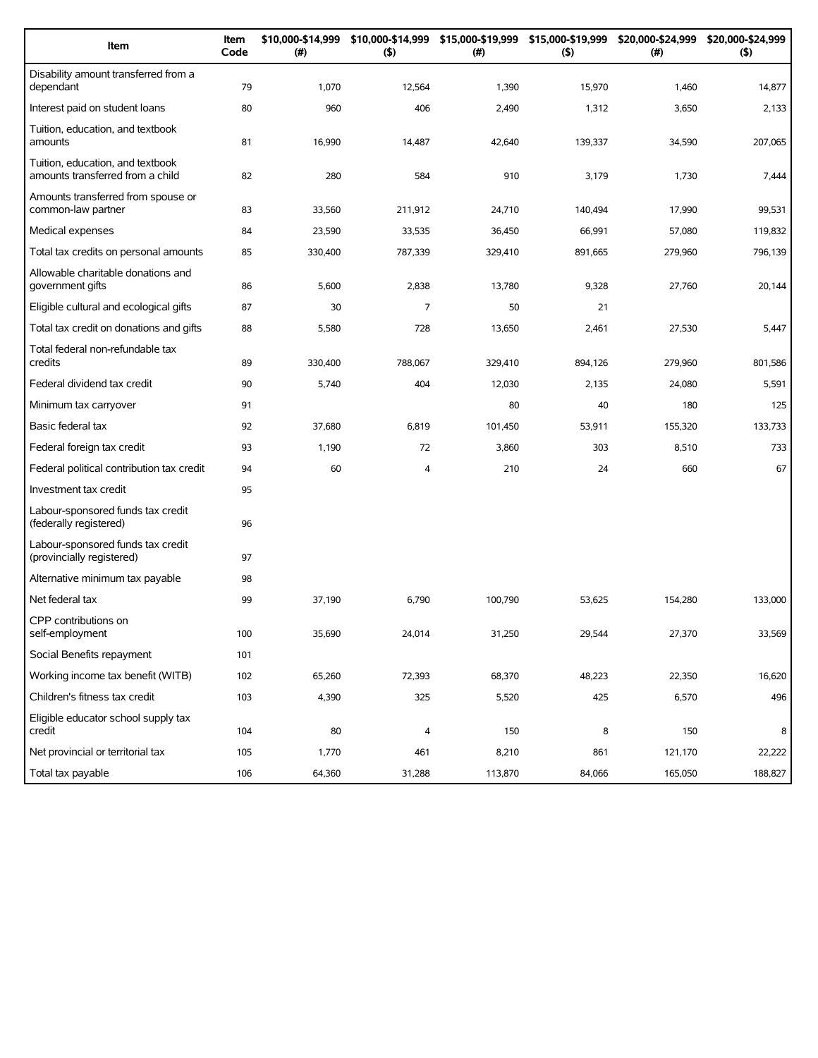| Item                                                                 | Item<br>Code | \$10,000-\$14,999<br>(#) | (5)            | \$10,000-\$14,999 \$15,000-\$19,999<br>(# ) | \$15,000-\$19,999<br>(5) | \$20,000-\$24,999<br>(#) | \$20,000-\$24,999<br>(5) |
|----------------------------------------------------------------------|--------------|--------------------------|----------------|---------------------------------------------|--------------------------|--------------------------|--------------------------|
| Disability amount transferred from a<br>dependant                    | 79           | 1,070                    | 12,564         | 1,390                                       | 15,970                   | 1,460                    | 14,877                   |
| Interest paid on student loans                                       | 80           | 960                      | 406            | 2,490                                       | 1,312                    | 3,650                    | 2,133                    |
| Tuition, education, and textbook<br>amounts                          | 81           | 16,990                   | 14,487         | 42,640                                      | 139,337                  | 34,590                   | 207,065                  |
| Tuition, education, and textbook<br>amounts transferred from a child | 82           | 280                      | 584            | 910                                         | 3,179                    | 1,730                    | 7,444                    |
| Amounts transferred from spouse or<br>common-law partner             | 83           | 33,560                   | 211.912        | 24,710                                      | 140,494                  | 17,990                   | 99,531                   |
| Medical expenses                                                     | 84           | 23,590                   | 33,535         | 36,450                                      | 66,991                   | 57,080                   | 119,832                  |
| Total tax credits on personal amounts                                | 85           | 330,400                  | 787,339        | 329,410                                     | 891,665                  | 279,960                  | 796,139                  |
| Allowable charitable donations and<br>government gifts               | 86           | 5,600                    | 2,838          | 13,780                                      | 9,328                    | 27,760                   | 20,144                   |
| Eligible cultural and ecological gifts                               | 87           | 30                       | $\overline{7}$ | 50                                          | 21                       |                          |                          |
| Total tax credit on donations and gifts                              | 88           | 5,580                    | 728            | 13,650                                      | 2,461                    | 27,530                   | 5,447                    |
| Total federal non-refundable tax<br>credits                          | 89           | 330,400                  | 788,067        | 329,410                                     | 894,126                  | 279,960                  | 801,586                  |
| Federal dividend tax credit                                          | 90           | 5,740                    | 404            | 12,030                                      | 2,135                    | 24,080                   | 5,591                    |
| Minimum tax carryover                                                | 91           |                          |                | 80                                          | 40                       | 180                      | 125                      |
| Basic federal tax                                                    | 92           | 37,680                   | 6,819          | 101,450                                     | 53,911                   | 155,320                  | 133,733                  |
| Federal foreign tax credit                                           | 93           | 1,190                    | 72             | 3,860                                       | 303                      | 8,510                    | 733                      |
| Federal political contribution tax credit                            | 94           | 60                       | 4              | 210                                         | 24                       | 660                      | 67                       |
| Investment tax credit                                                | 95           |                          |                |                                             |                          |                          |                          |
| Labour-sponsored funds tax credit<br>(federally registered)          | 96           |                          |                |                                             |                          |                          |                          |
| Labour-sponsored funds tax credit<br>(provincially registered)       | 97           |                          |                |                                             |                          |                          |                          |
| Alternative minimum tax payable                                      | 98           |                          |                |                                             |                          |                          |                          |
| Net federal tax                                                      | 99           | 37,190                   | 6,790          | 100,790                                     | 53,625                   | 154,280                  | 133,000                  |
| CPP contributions on<br>self-employment                              | 100          | 35,690                   | 24,014         | 31,250                                      | 29,544                   | 27,370                   | 33,569                   |
| Social Benefits repayment                                            | 101          |                          |                |                                             |                          |                          |                          |
| Working income tax benefit (WITB)                                    | 102          | 65,260                   | 72,393         | 68,370                                      | 48,223                   | 22,350                   | 16,620                   |
| Children's fitness tax credit                                        | 103          | 4,390                    | 325            | 5,520                                       | 425                      | 6,570                    | 496                      |
| Eligible educator school supply tax<br>credit                        | 104          | 80                       | 4              | 150                                         | 8                        | 150                      | 8                        |
| Net provincial or territorial tax                                    | 105          | 1,770                    | 461            | 8,210                                       | 861                      | 121,170                  | 22,222                   |
| Total tax payable                                                    | 106          | 64,360                   | 31,288         | 113,870                                     | 84,066                   | 165,050                  | 188,827                  |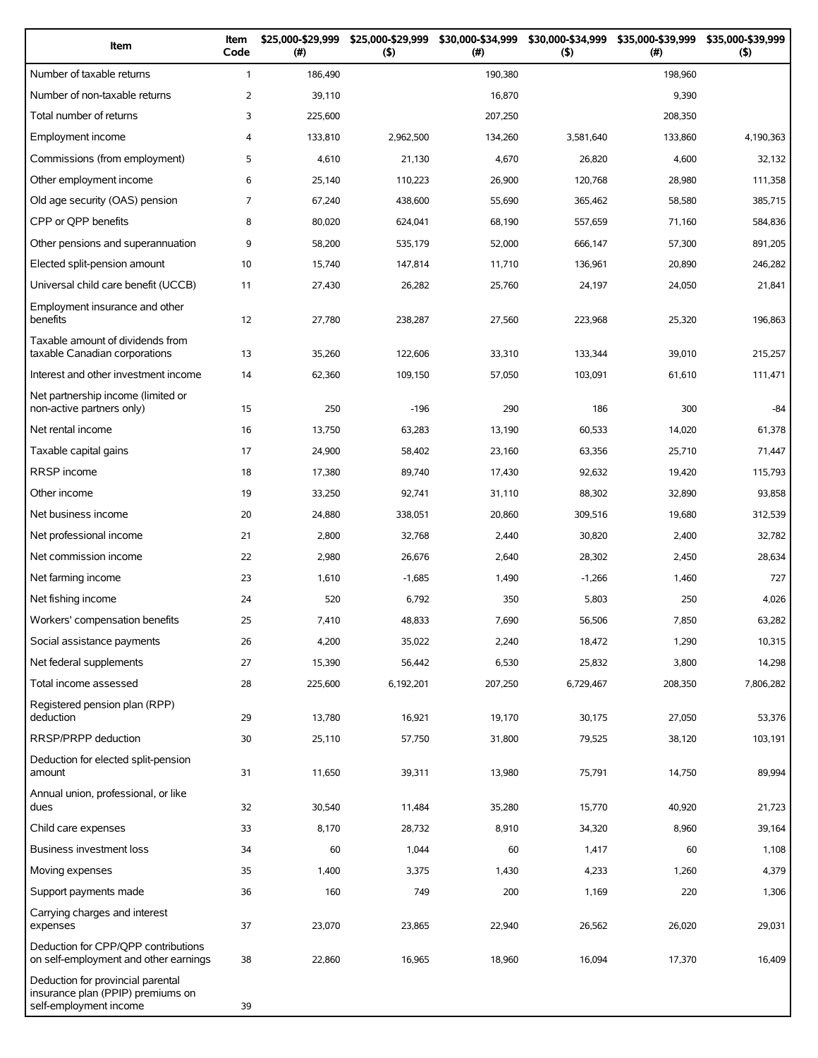| Item                                                                                             | Item<br>Code   | \$25,000-\$29,999<br>(#) | \$25,000-\$29,999<br>(5) | \$30,000-\$34,999<br>(# ) | \$30,000-\$34,999<br>(5) | \$35,000-\$39,999<br>$(\#)$ | \$35,000-\$39,999<br>(5) |
|--------------------------------------------------------------------------------------------------|----------------|--------------------------|--------------------------|---------------------------|--------------------------|-----------------------------|--------------------------|
| Number of taxable returns                                                                        | $\mathbf{1}$   | 186,490                  |                          | 190,380                   |                          | 198,960                     |                          |
| Number of non-taxable returns                                                                    | 2              | 39,110                   |                          | 16,870                    |                          | 9,390                       |                          |
| Total number of returns                                                                          | 3              | 225,600                  |                          | 207,250                   |                          | 208,350                     |                          |
| Employment income                                                                                | 4              | 133,810                  | 2,962,500                | 134,260                   | 3,581,640                | 133,860                     | 4,190,363                |
| Commissions (from employment)                                                                    | 5              | 4,610                    | 21,130                   | 4,670                     | 26,820                   | 4,600                       | 32,132                   |
| Other employment income                                                                          | 6              | 25,140                   | 110,223                  | 26,900                    | 120,768                  | 28,980                      | 111,358                  |
| Old age security (OAS) pension                                                                   | $\overline{7}$ | 67,240                   | 438,600                  | 55,690                    | 365,462                  | 58,580                      | 385,715                  |
| CPP or QPP benefits                                                                              | 8              | 80,020                   | 624,041                  | 68,190                    | 557,659                  | 71,160                      | 584,836                  |
| Other pensions and superannuation                                                                | 9              | 58,200                   | 535,179                  | 52,000                    | 666,147                  | 57,300                      | 891,205                  |
| Elected split-pension amount                                                                     | 10             | 15,740                   | 147,814                  | 11,710                    | 136,961                  | 20,890                      | 246,282                  |
| Universal child care benefit (UCCB)                                                              | 11             | 27,430                   | 26,282                   | 25,760                    | 24,197                   | 24,050                      | 21,841                   |
| Employment insurance and other<br>benefits                                                       | 12             | 27,780                   | 238,287                  | 27,560                    | 223,968                  | 25,320                      | 196,863                  |
| Taxable amount of dividends from<br>taxable Canadian corporations                                | 13             | 35,260                   | 122,606                  | 33,310                    | 133,344                  | 39,010                      | 215,257                  |
| Interest and other investment income                                                             | 14             | 62,360                   | 109,150                  | 57,050                    | 103,091                  | 61,610                      | 111,471                  |
| Net partnership income (limited or<br>non-active partners only)                                  | 15             | 250                      | $-196$                   | 290                       | 186                      | 300                         | $-84$                    |
| Net rental income                                                                                | 16             | 13,750                   | 63,283                   | 13,190                    | 60,533                   | 14,020                      | 61,378                   |
| Taxable capital gains                                                                            | 17             | 24,900                   | 58,402                   | 23,160                    | 63,356                   | 25,710                      | 71,447                   |
| RRSP income                                                                                      | 18             | 17,380                   | 89,740                   | 17,430                    | 92,632                   | 19,420                      | 115,793                  |
| Other income                                                                                     | 19             | 33,250                   | 92,741                   | 31,110                    | 88,302                   | 32,890                      | 93,858                   |
| Net business income                                                                              | 20             | 24,880                   | 338,051                  | 20,860                    | 309,516                  | 19,680                      | 312,539                  |
| Net professional income                                                                          | 21             | 2,800                    | 32,768                   | 2,440                     | 30,820                   | 2,400                       | 32,782                   |
| Net commission income                                                                            | 22             | 2,980                    | 26,676                   | 2,640                     | 28,302                   | 2,450                       | 28,634                   |
| Net farming income                                                                               | 23             | 1,610                    | $-1,685$                 | 1,490                     | $-1,266$                 | 1,460                       | 727                      |
| Net fishing income                                                                               | 24             | 520                      | 6,792                    | 350                       | 5,803                    | 250                         | 4,026                    |
| Workers' compensation benefits                                                                   | 25             | 7,410                    | 48,833                   | 7,690                     | 56,506                   | 7,850                       | 63,282                   |
| Social assistance payments                                                                       | 26             | 4,200                    | 35,022                   | 2,240                     | 18,472                   | 1,290                       | 10,315                   |
| Net federal supplements                                                                          | 27             | 15,390                   | 56,442                   | 6,530                     | 25,832                   | 3,800                       | 14,298                   |
| Total income assessed                                                                            | 28             | 225,600                  | 6,192,201                | 207,250                   | 6,729,467                | 208,350                     | 7,806,282                |
| Registered pension plan (RPP)<br>deduction                                                       | 29             | 13,780                   | 16,921                   | 19,170                    | 30,175                   | 27,050                      | 53,376                   |
| RRSP/PRPP deduction                                                                              | 30             | 25,110                   | 57,750                   | 31,800                    | 79,525                   | 38,120                      | 103,191                  |
| Deduction for elected split-pension<br>amount                                                    | 31             | 11,650                   | 39,311                   | 13,980                    | 75,791                   | 14,750                      | 89,994                   |
| Annual union, professional, or like<br>dues                                                      | 32             | 30,540                   | 11,484                   | 35,280                    | 15,770                   | 40,920                      | 21,723                   |
| Child care expenses                                                                              | 33             | 8,170                    | 28,732                   | 8,910                     | 34,320                   | 8,960                       | 39,164                   |
| Business investment loss                                                                         | 34             | 60                       | 1,044                    | 60                        | 1,417                    | 60                          | 1,108                    |
| Moving expenses                                                                                  | 35             | 1,400                    | 3,375                    | 1,430                     | 4,233                    | 1,260                       | 4,379                    |
| Support payments made                                                                            | 36             | 160                      | 749                      | 200                       | 1,169                    | 220                         | 1,306                    |
| Carrying charges and interest<br>expenses                                                        | 37             | 23,070                   | 23,865                   | 22,940                    | 26,562                   | 26,020                      | 29,031                   |
| Deduction for CPP/QPP contributions<br>on self-employment and other earnings                     | 38             | 22,860                   | 16,965                   | 18,960                    | 16,094                   | 17,370                      | 16,409                   |
| Deduction for provincial parental<br>insurance plan (PPIP) premiums on<br>self-employment income | 39             |                          |                          |                           |                          |                             |                          |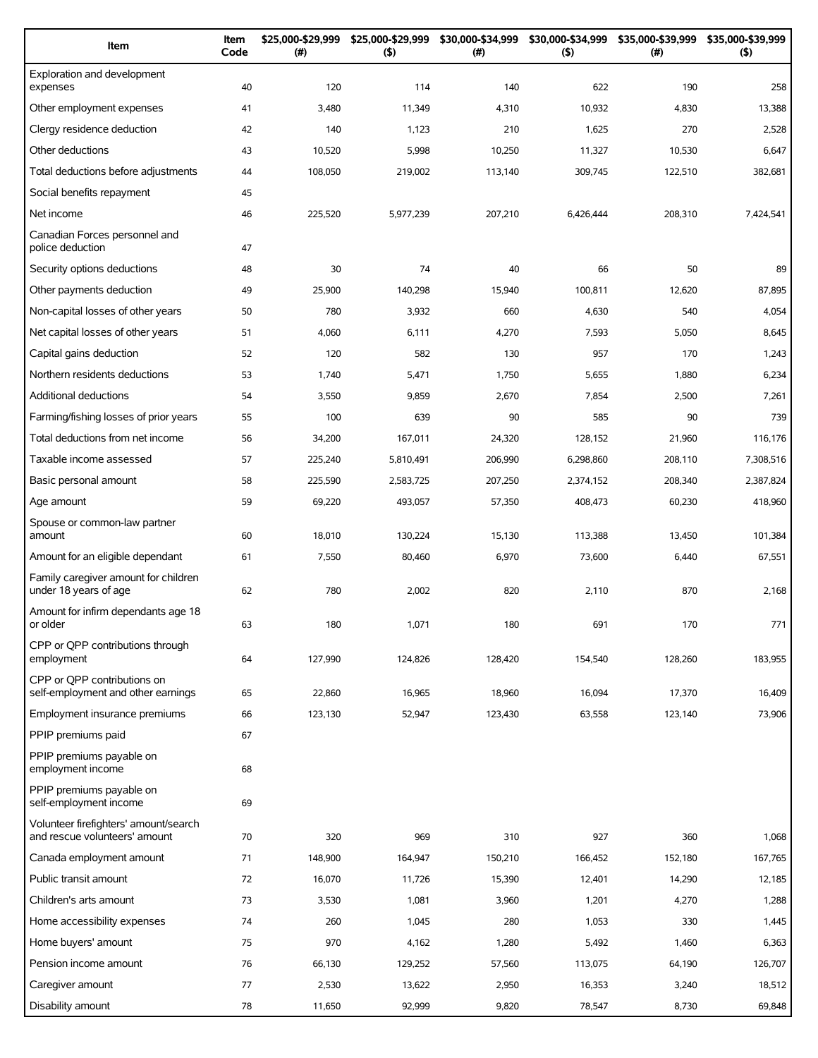| Item                                                                   | Item<br>Code | \$25,000-\$29,999<br>(#) | \$25,000-\$29,999<br>(5) | \$30,000-\$34,999<br>(#) | \$30,000-\$34,999<br>(5) | \$35,000-\$39,999<br>$(\#)$ | \$35,000-\$39,999<br>(5) |
|------------------------------------------------------------------------|--------------|--------------------------|--------------------------|--------------------------|--------------------------|-----------------------------|--------------------------|
| Exploration and development<br>expenses                                | 40           | 120                      | 114                      | 140                      | 622                      | 190                         | 258                      |
| Other employment expenses                                              | 41           | 3,480                    | 11,349                   | 4,310                    | 10,932                   | 4,830                       | 13,388                   |
| Clergy residence deduction                                             | 42           | 140                      | 1,123                    | 210                      | 1,625                    | 270                         | 2,528                    |
| Other deductions                                                       | 43           | 10,520                   | 5,998                    | 10,250                   | 11,327                   | 10,530                      | 6,647                    |
| Total deductions before adjustments                                    | 44           | 108,050                  | 219,002                  | 113,140                  | 309,745                  | 122,510                     | 382,681                  |
| Social benefits repayment                                              | 45           |                          |                          |                          |                          |                             |                          |
| Net income                                                             | 46           | 225,520                  | 5,977,239                | 207,210                  | 6,426,444                | 208,310                     | 7,424,541                |
| Canadian Forces personnel and<br>police deduction                      | 47           |                          |                          |                          |                          |                             |                          |
| Security options deductions                                            | 48           | 30                       | 74                       | 40                       | 66                       | 50                          | 89                       |
| Other payments deduction                                               | 49           | 25,900                   | 140,298                  | 15,940                   | 100,811                  | 12,620                      | 87,895                   |
| Non-capital losses of other years                                      | 50           | 780                      | 3,932                    | 660                      | 4,630                    | 540                         | 4,054                    |
| Net capital losses of other years                                      | 51           | 4,060                    | 6,111                    | 4,270                    | 7,593                    | 5,050                       | 8,645                    |
| Capital gains deduction                                                | 52           | 120                      | 582                      | 130                      | 957                      | 170                         | 1,243                    |
| Northern residents deductions                                          | 53           | 1,740                    | 5,471                    | 1,750                    | 5,655                    | 1,880                       | 6,234                    |
| <b>Additional deductions</b>                                           | 54           | 3,550                    | 9,859                    | 2,670                    | 7,854                    | 2,500                       | 7,261                    |
| Farming/fishing losses of prior years                                  | 55           | 100                      | 639                      | 90                       | 585                      | 90                          | 739                      |
| Total deductions from net income                                       | 56           | 34,200                   | 167,011                  | 24,320                   | 128,152                  | 21,960                      | 116,176                  |
| Taxable income assessed                                                | 57           | 225,240                  | 5,810,491                | 206,990                  | 6,298,860                | 208,110                     | 7,308,516                |
| Basic personal amount                                                  | 58           | 225,590                  | 2,583,725                | 207,250                  | 2,374,152                | 208,340                     | 2,387,824                |
| Age amount                                                             | 59           | 69,220                   | 493,057                  | 57,350                   | 408,473                  | 60,230                      | 418,960                  |
| Spouse or common-law partner<br>amount                                 | 60           | 18,010                   | 130,224                  | 15,130                   | 113,388                  | 13,450                      | 101,384                  |
| Amount for an eligible dependant                                       | 61           | 7,550                    | 80,460                   | 6,970                    | 73,600                   | 6,440                       | 67,551                   |
| Family caregiver amount for children<br>under 18 years of age          | 62           | 780                      | 2,002                    | 820                      | 2,110                    | 870                         | 2,168                    |
| Amount for infirm dependants age 18<br>or older                        | 63           | 180                      | 1,071                    | 180                      | 691                      | 170                         | 771                      |
| CPP or QPP contributions through<br>employment                         | 64           | 127,990                  | 124,826                  | 128,420                  | 154,540                  | 128,260                     | 183,955                  |
| CPP or OPP contributions on<br>self-employment and other earnings      | 65           | 22,860                   | 16,965                   | 18,960                   | 16,094                   | 17,370                      | 16,409                   |
| Employment insurance premiums                                          | 66           | 123,130                  | 52,947                   | 123,430                  | 63,558                   | 123,140                     | 73,906                   |
| PPIP premiums paid                                                     | 67           |                          |                          |                          |                          |                             |                          |
| PPIP premiums payable on<br>employment income                          | 68           |                          |                          |                          |                          |                             |                          |
| PPIP premiums payable on<br>self-employment income                     | 69           |                          |                          |                          |                          |                             |                          |
| Volunteer firefighters' amount/search<br>and rescue volunteers' amount | 70           | 320                      | 969                      | 310                      | 927                      | 360                         | 1,068                    |
| Canada employment amount                                               | 71           | 148,900                  | 164,947                  | 150,210                  | 166,452                  | 152,180                     | 167,765                  |
| Public transit amount                                                  | 72           | 16,070                   | 11,726                   | 15,390                   | 12,401                   | 14,290                      | 12,185                   |
| Children's arts amount                                                 | 73           | 3,530                    | 1,081                    | 3,960                    | 1,201                    | 4,270                       | 1,288                    |
| Home accessibility expenses                                            | 74           | 260                      | 1,045                    | 280                      | 1,053                    | 330                         | 1,445                    |
| Home buyers' amount                                                    | 75           | 970                      | 4,162                    | 1,280                    | 5,492                    | 1,460                       | 6,363                    |
| Pension income amount                                                  | 76           | 66,130                   | 129,252                  | 57,560                   | 113,075                  | 64,190                      | 126,707                  |
| Caregiver amount                                                       | 77           | 2,530                    | 13,622                   | 2,950                    | 16,353                   | 3,240                       | 18,512                   |
| Disability amount                                                      | 78           | 11,650                   | 92,999                   | 9,820                    | 78,547                   | 8,730                       | 69,848                   |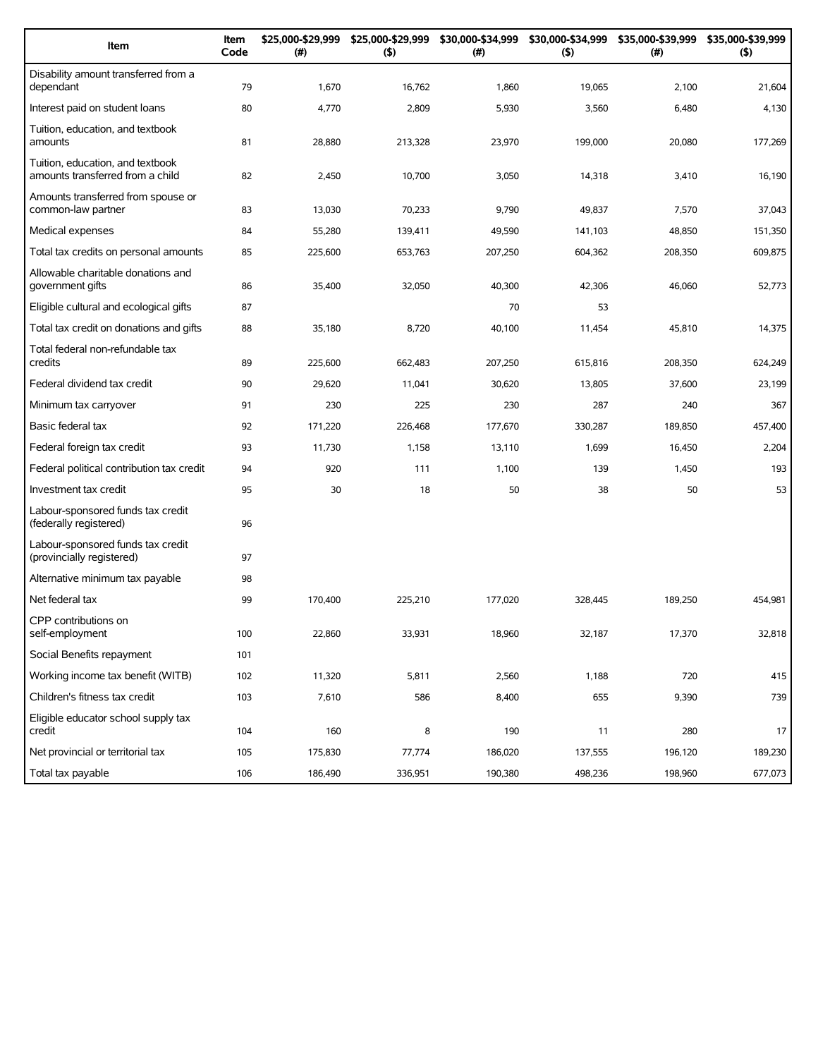| Item                                                                 | Item<br>Code | \$25,000-\$29,999<br>(#) | \$25,000-\$29,999<br>(5) | \$30,000-\$34,999<br>(#) | (5)     | \$30,000-\$34,999 \$35,000-\$39,999<br>$(\#)$ | \$35,000-\$39,999<br>(5) |
|----------------------------------------------------------------------|--------------|--------------------------|--------------------------|--------------------------|---------|-----------------------------------------------|--------------------------|
| Disability amount transferred from a<br>dependant                    | 79           | 1,670                    | 16,762                   | 1,860                    | 19,065  | 2,100                                         | 21,604                   |
| Interest paid on student loans                                       | 80           | 4,770                    | 2,809                    | 5,930                    | 3,560   | 6,480                                         | 4,130                    |
| Tuition, education, and textbook<br>amounts                          | 81           | 28,880                   | 213,328                  | 23,970                   | 199,000 | 20,080                                        | 177,269                  |
| Tuition, education, and textbook<br>amounts transferred from a child | 82           | 2,450                    | 10,700                   | 3,050                    | 14,318  | 3,410                                         | 16,190                   |
| Amounts transferred from spouse or<br>common-law partner             | 83           | 13,030                   | 70,233                   | 9,790                    | 49,837  | 7,570                                         | 37,043                   |
| Medical expenses                                                     | 84           | 55,280                   | 139,411                  | 49,590                   | 141,103 | 48,850                                        | 151,350                  |
| Total tax credits on personal amounts                                | 85           | 225,600                  | 653,763                  | 207,250                  | 604,362 | 208,350                                       | 609,875                  |
| Allowable charitable donations and<br>government gifts               | 86           | 35,400                   | 32,050                   | 40,300                   | 42,306  | 46,060                                        | 52,773                   |
| Eligible cultural and ecological gifts                               | 87           |                          |                          | 70                       | 53      |                                               |                          |
| Total tax credit on donations and gifts                              | 88           | 35,180                   | 8,720                    | 40,100                   | 11,454  | 45,810                                        | 14,375                   |
| Total federal non-refundable tax<br>credits                          | 89           | 225.600                  | 662,483                  | 207,250                  | 615,816 | 208.350                                       | 624,249                  |
| Federal dividend tax credit                                          | 90           | 29,620                   | 11,041                   | 30,620                   | 13,805  | 37,600                                        | 23,199                   |
| Minimum tax carryover                                                | 91           | 230                      | 225                      | 230                      | 287     | 240                                           | 367                      |
| Basic federal tax                                                    | 92           | 171,220                  | 226,468                  | 177,670                  | 330,287 | 189,850                                       | 457,400                  |
| Federal foreign tax credit                                           | 93           | 11,730                   | 1,158                    | 13,110                   | 1,699   | 16,450                                        | 2,204                    |
| Federal political contribution tax credit                            | 94           | 920                      | 111                      | 1,100                    | 139     | 1,450                                         | 193                      |
| Investment tax credit                                                | 95           | 30                       | 18                       | 50                       | 38      | 50                                            | 53                       |
| Labour-sponsored funds tax credit<br>(federally registered)          | 96           |                          |                          |                          |         |                                               |                          |
| Labour-sponsored funds tax credit<br>(provincially registered)       | 97           |                          |                          |                          |         |                                               |                          |
| Alternative minimum tax payable                                      | 98           |                          |                          |                          |         |                                               |                          |
| Net federal tax                                                      | 99           | 170,400                  | 225,210                  | 177,020                  | 328,445 | 189,250                                       | 454,981                  |
| CPP contributions on<br>self-employment                              | 100          | 22,860                   | 33,931                   | 18,960                   | 32,187  | 17,370                                        | 32,818                   |
| Social Benefits repayment                                            | 101          |                          |                          |                          |         |                                               |                          |
| Working income tax benefit (WITB)                                    | 102          | 11,320                   | 5,811                    | 2,560                    | 1,188   | 720                                           | 415                      |
| Children's fitness tax credit                                        | 103          | 7,610                    | 586                      | 8,400                    | 655     | 9,390                                         | 739                      |
| Eligible educator school supply tax<br>credit                        | 104          | 160                      | 8                        | 190                      | 11      | 280                                           | 17                       |
| Net provincial or territorial tax                                    | 105          | 175,830                  | 77,774                   | 186,020                  | 137,555 | 196,120                                       | 189,230                  |
| Total tax payable                                                    | 106          | 186,490                  | 336,951                  | 190,380                  | 498,236 | 198,960                                       | 677,073                  |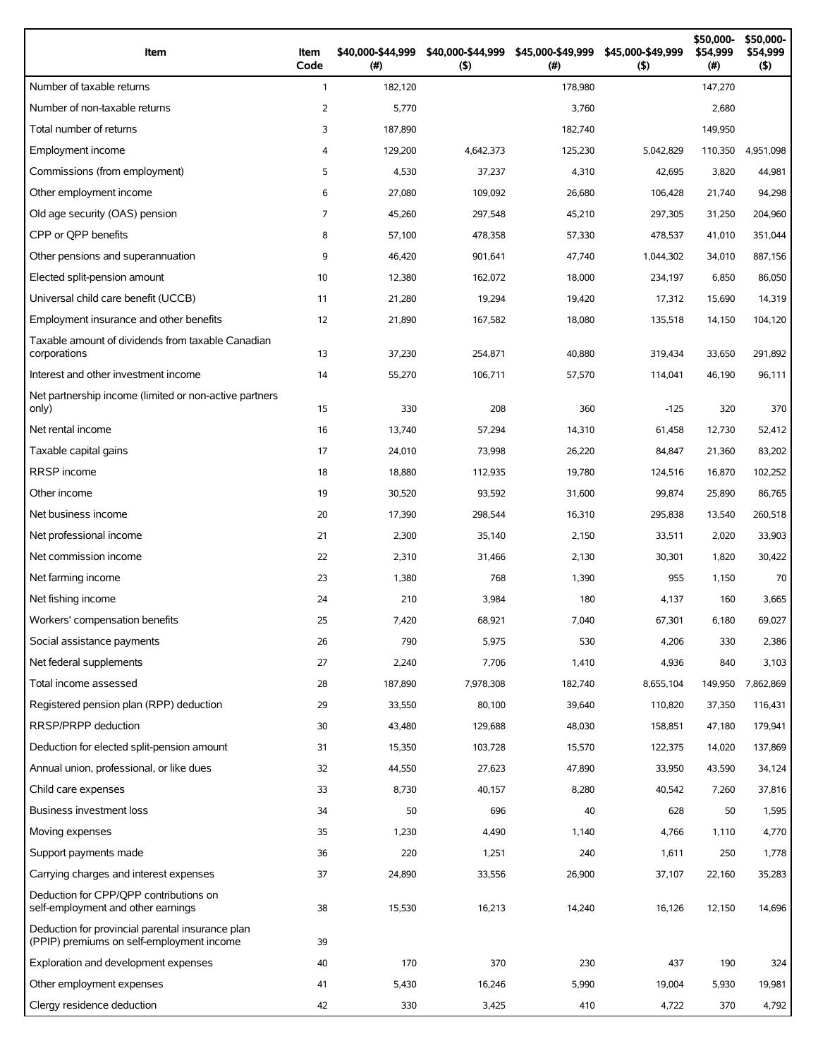| Item                                                                                          | Item<br>Code   | \$40,000-\$44,999<br>$($ #) | \$40,000-\$44,999<br>(5) | \$45,000-\$49,999<br>$(\#)$ | \$45,000-\$49,999<br>(5) | \$50,000-<br>\$54,999<br>(# ) | \$50,000-<br>\$54,999<br>(5) |
|-----------------------------------------------------------------------------------------------|----------------|-----------------------------|--------------------------|-----------------------------|--------------------------|-------------------------------|------------------------------|
| Number of taxable returns                                                                     | $\mathbf{1}$   | 182,120                     |                          | 178,980                     |                          | 147,270                       |                              |
| Number of non-taxable returns                                                                 | 2              | 5,770                       |                          | 3,760                       |                          | 2,680                         |                              |
| Total number of returns                                                                       | 3              | 187,890                     |                          | 182,740                     |                          | 149,950                       |                              |
| Employment income                                                                             | $\overline{4}$ | 129,200                     | 4,642,373                | 125,230                     | 5,042,829                | 110,350                       | 4,951,098                    |
| Commissions (from employment)                                                                 | 5              | 4,530                       | 37,237                   | 4,310                       | 42,695                   | 3,820                         | 44,981                       |
| Other employment income                                                                       | 6              | 27,080                      | 109,092                  | 26,680                      | 106,428                  | 21,740                        | 94,298                       |
| Old age security (OAS) pension                                                                | $\overline{7}$ | 45,260                      | 297,548                  | 45,210                      | 297,305                  | 31,250                        | 204,960                      |
| CPP or OPP benefits                                                                           | 8              | 57,100                      | 478,358                  | 57,330                      | 478,537                  | 41,010                        | 351,044                      |
| Other pensions and superannuation                                                             | 9              | 46,420                      | 901,641                  | 47,740                      | 1,044,302                | 34,010                        | 887,156                      |
| Elected split-pension amount                                                                  | 10             | 12,380                      | 162,072                  | 18,000                      | 234,197                  | 6,850                         | 86,050                       |
| Universal child care benefit (UCCB)                                                           | 11             | 21,280                      | 19,294                   | 19,420                      | 17,312                   | 15,690                        | 14,319                       |
| Employment insurance and other benefits                                                       | 12             | 21,890                      | 167,582                  | 18,080                      | 135,518                  | 14,150                        | 104,120                      |
| Taxable amount of dividends from taxable Canadian<br>corporations                             | 13             | 37,230                      | 254,871                  | 40,880                      | 319,434                  | 33,650                        | 291,892                      |
| Interest and other investment income                                                          | 14             | 55,270                      | 106,711                  | 57,570                      | 114,041                  | 46,190                        | 96,111                       |
| Net partnership income (limited or non-active partners<br>only)                               | 15             | 330                         | 208                      | 360                         | $-125$                   | 320                           | 370                          |
| Net rental income                                                                             | 16             | 13,740                      | 57,294                   | 14,310                      | 61,458                   | 12,730                        | 52,412                       |
| Taxable capital gains                                                                         | 17             | 24,010                      | 73,998                   | 26,220                      | 84,847                   | 21,360                        | 83,202                       |
| <b>RRSP</b> income                                                                            | 18             | 18,880                      | 112,935                  | 19,780                      | 124,516                  | 16,870                        | 102,252                      |
| Other income                                                                                  | 19             | 30,520                      | 93,592                   | 31,600                      | 99,874                   | 25,890                        | 86,765                       |
| Net business income                                                                           | 20             | 17,390                      | 298,544                  | 16,310                      | 295,838                  | 13,540                        | 260,518                      |
| Net professional income                                                                       | 21             | 2,300                       | 35,140                   | 2,150                       | 33,511                   | 2,020                         | 33,903                       |
| Net commission income                                                                         | 22             | 2,310                       | 31,466                   | 2,130                       | 30,301                   | 1,820                         | 30,422                       |
| Net farming income                                                                            | 23             | 1,380                       | 768                      | 1,390                       | 955                      | 1,150                         | 70                           |
| Net fishing income                                                                            | 24             | 210                         | 3,984                    | 180                         | 4,137                    | 160                           | 3,665                        |
| Workers' compensation benefits                                                                | 25             | 7,420                       | 68,921                   | 7,040                       | 67,301                   | 6,180                         | 69,027                       |
| Social assistance payments                                                                    | 26             | 790                         | 5,975                    | 530                         | 4,206                    | 330                           | 2,386                        |
| Net federal supplements                                                                       | 27             | 2,240                       | 7,706                    | 1,410                       | 4,936                    | 840                           | 3,103                        |
| Total income assessed                                                                         | 28             | 187,890                     | 7,978,308                | 182,740                     | 8,655,104                | 149,950                       | 7,862,869                    |
| Registered pension plan (RPP) deduction                                                       | 29             | 33,550                      | 80,100                   | 39,640                      | 110,820                  | 37,350                        | 116,431                      |
| RRSP/PRPP deduction                                                                           | 30             | 43,480                      | 129,688                  | 48,030                      | 158,851                  | 47,180                        | 179,941                      |
| Deduction for elected split-pension amount                                                    | 31             | 15,350                      | 103,728                  | 15,570                      | 122,375                  | 14,020                        | 137,869                      |
| Annual union, professional, or like dues                                                      | 32             | 44,550                      | 27,623                   | 47,890                      | 33,950                   | 43,590                        | 34,124                       |
| Child care expenses                                                                           | 33             | 8,730                       | 40,157                   | 8,280                       | 40,542                   | 7,260                         | 37,816                       |
| Business investment loss                                                                      | 34             | 50                          | 696                      | 40                          | 628                      | 50                            | 1,595                        |
| Moving expenses                                                                               | 35             | 1,230                       | 4,490                    | 1,140                       | 4,766                    | 1,110                         | 4,770                        |
| Support payments made                                                                         | 36             | 220                         | 1,251                    | 240                         | 1,611                    | 250                           | 1,778                        |
| Carrying charges and interest expenses                                                        | 37             | 24,890                      | 33,556                   | 26,900                      | 37,107                   | 22,160                        | 35,283                       |
| Deduction for CPP/QPP contributions on<br>self-employment and other earnings                  | 38             | 15,530                      | 16,213                   | 14,240                      | 16,126                   | 12,150                        | 14,696                       |
| Deduction for provincial parental insurance plan<br>(PPIP) premiums on self-employment income | 39             |                             |                          |                             |                          |                               |                              |
| Exploration and development expenses                                                          | 40             | 170                         | 370                      | 230                         | 437                      | 190                           | 324                          |
| Other employment expenses                                                                     | 41             | 5,430                       | 16,246                   | 5,990                       | 19,004                   | 5,930                         | 19,981                       |
| Clergy residence deduction                                                                    | 42             | 330                         | 3,425                    | 410                         | 4,722                    | 370                           | 4,792                        |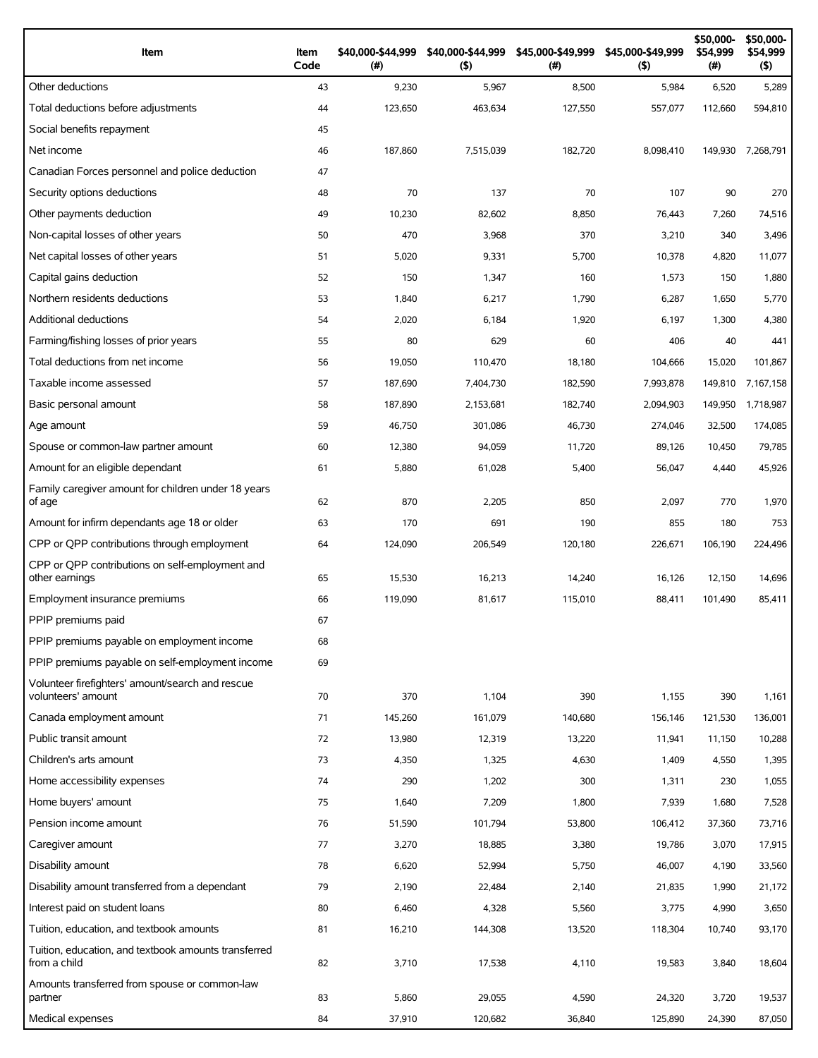| Item                                                                 | Item<br>Code | \$40,000-\$44,999<br>(# ) | \$40,000-\$44,999<br>$($ \$) | \$45,000-\$49,999<br>(# ) | \$45,000-\$49,999<br>$($ \$) | \$50,000-<br>\$54,999<br>$(\#)$ | \$50,000-<br>\$54,999<br>$($ \$) |
|----------------------------------------------------------------------|--------------|---------------------------|------------------------------|---------------------------|------------------------------|---------------------------------|----------------------------------|
| Other deductions                                                     | 43           | 9,230                     | 5,967                        | 8,500                     | 5,984                        | 6,520                           | 5,289                            |
| Total deductions before adjustments                                  | 44           | 123,650                   | 463,634                      | 127,550                   | 557,077                      | 112.660                         | 594,810                          |
| Social benefits repayment                                            | 45           |                           |                              |                           |                              |                                 |                                  |
| Net income                                                           | 46           | 187,860                   | 7,515,039                    | 182,720                   | 8,098,410                    | 149,930                         | 7,268,791                        |
| Canadian Forces personnel and police deduction                       | 47           |                           |                              |                           |                              |                                 |                                  |
| Security options deductions                                          | 48           | 70                        | 137                          | 70                        | 107                          | 90                              | 270                              |
| Other payments deduction                                             | 49           | 10,230                    | 82,602                       | 8,850                     | 76,443                       | 7,260                           | 74,516                           |
| Non-capital losses of other years                                    | 50           | 470                       | 3,968                        | 370                       | 3,210                        | 340                             | 3,496                            |
| Net capital losses of other years                                    | 51           | 5,020                     | 9,331                        | 5,700                     | 10,378                       | 4,820                           | 11,077                           |
| Capital gains deduction                                              | 52           | 150                       | 1,347                        | 160                       | 1,573                        | 150                             | 1,880                            |
| Northern residents deductions                                        | 53           | 1,840                     | 6,217                        | 1,790                     | 6,287                        | 1,650                           | 5,770                            |
| Additional deductions                                                | 54           | 2,020                     | 6,184                        | 1,920                     | 6,197                        | 1,300                           | 4,380                            |
| Farming/fishing losses of prior years                                | 55           | 80                        | 629                          | 60                        | 406                          | 40                              | 441                              |
| Total deductions from net income                                     | 56           | 19,050                    | 110,470                      | 18,180                    | 104,666                      | 15,020                          | 101.867                          |
| Taxable income assessed                                              | 57           | 187,690                   | 7,404,730                    | 182,590                   | 7,993,878                    | 149,810                         | 7,167,158                        |
| Basic personal amount                                                | 58           | 187,890                   | 2,153,681                    | 182,740                   | 2,094,903                    | 149,950                         | 1,718,987                        |
| Age amount                                                           | 59           | 46,750                    | 301,086                      | 46,730                    | 274,046                      | 32,500                          | 174,085                          |
| Spouse or common-law partner amount                                  | 60           | 12,380                    | 94,059                       | 11,720                    | 89,126                       | 10,450                          | 79,785                           |
| Amount for an eligible dependant                                     | 61           | 5,880                     | 61,028                       | 5,400                     | 56,047                       | 4,440                           | 45,926                           |
| Family caregiver amount for children under 18 years<br>of age        | 62           | 870                       | 2,205                        | 850                       | 2,097                        | 770                             | 1,970                            |
| Amount for infirm dependants age 18 or older                         | 63           | 170                       | 691                          | 190                       | 855                          | 180                             | 753                              |
| CPP or QPP contributions through employment                          | 64           | 124,090                   | 206,549                      | 120,180                   | 226,671                      | 106,190                         | 224,496                          |
| CPP or OPP contributions on self-employment and<br>other earnings    | 65           | 15,530                    | 16,213                       | 14,240                    | 16,126                       | 12,150                          | 14,696                           |
| Employment insurance premiums                                        | 66           | 119,090                   | 81,617                       | 115,010                   | 88,411                       | 101.490                         | 85,411                           |
| PPIP premiums paid                                                   | 67           |                           |                              |                           |                              |                                 |                                  |
| PPIP premiums payable on employment income                           | 68           |                           |                              |                           |                              |                                 |                                  |
| PPIP premiums payable on self-employment income                      | 69           |                           |                              |                           |                              |                                 |                                  |
| Volunteer firefighters' amount/search and rescue                     |              |                           |                              |                           |                              |                                 |                                  |
| volunteers' amount                                                   | 70           | 370                       | 1,104                        | 390                       | 1,155                        | 390                             | 1,161                            |
| Canada employment amount                                             | 71           | 145,260                   | 161,079                      | 140,680                   | 156,146                      | 121,530                         | 136,001                          |
| Public transit amount                                                | 72           | 13,980                    | 12,319                       | 13,220                    | 11,941                       | 11,150                          | 10,288                           |
| Children's arts amount                                               | 73           | 4,350                     | 1,325                        | 4,630                     | 1,409                        | 4,550                           | 1,395                            |
| Home accessibility expenses                                          | 74           | 290                       | 1,202                        | 300                       | 1,311                        | 230                             | 1,055                            |
| Home buyers' amount                                                  | 75           | 1,640                     | 7,209                        | 1,800                     | 7,939                        | 1,680                           | 7,528                            |
| Pension income amount                                                | 76           | 51,590                    | 101,794                      | 53,800                    | 106,412                      | 37,360                          | 73,716                           |
| Caregiver amount                                                     | 77           | 3,270                     | 18,885                       | 3,380                     | 19,786                       | 3,070                           | 17,915                           |
| Disability amount                                                    | 78           | 6,620                     | 52,994                       | 5,750                     | 46,007                       | 4,190                           | 33,560                           |
| Disability amount transferred from a dependant                       | 79           | 2,190                     | 22,484                       | 2,140                     | 21,835                       | 1,990                           | 21,172                           |
| Interest paid on student loans                                       | 80           | 6,460                     | 4,328                        | 5,560                     | 3,775                        | 4,990                           | 3,650                            |
| Tuition, education, and textbook amounts                             | 81           | 16,210                    | 144,308                      | 13,520                    | 118,304                      | 10,740                          | 93,170                           |
| Tuition, education, and textbook amounts transferred<br>from a child | 82           | 3,710                     | 17,538                       | 4,110                     | 19,583                       | 3,840                           | 18,604                           |
| Amounts transferred from spouse or common-law<br>partner             | 83           | 5,860                     | 29,055                       | 4,590                     | 24,320                       | 3,720                           | 19,537                           |
| Medical expenses                                                     | 84           | 37,910                    | 120,682                      | 36,840                    | 125,890                      | 24,390                          | 87,050                           |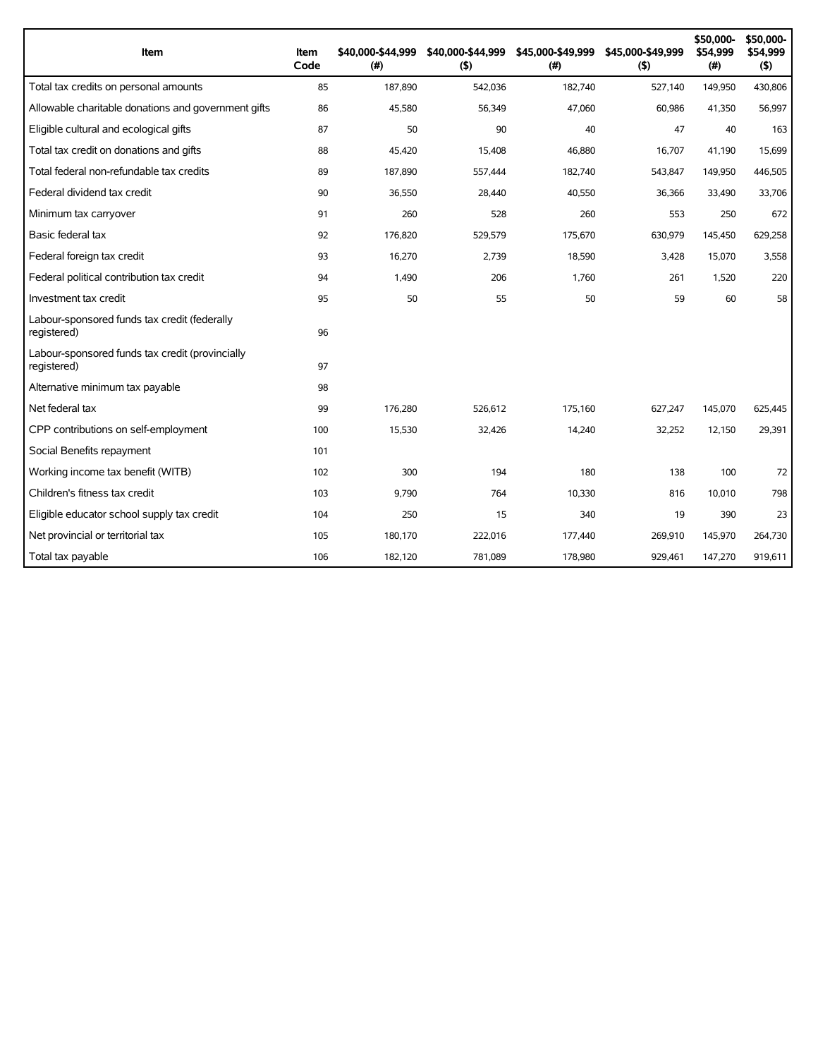| Item                                                           | Item<br>Code | \$40,000-\$44,999<br>(#) | \$40,000-\$44,999<br>(5) | \$45,000-\$49,999<br>(#) | \$45,000-\$49,999<br>(5) | \$50,000-<br>\$54.999<br>(#) | \$50,000-<br>\$54,999<br>(5) |
|----------------------------------------------------------------|--------------|--------------------------|--------------------------|--------------------------|--------------------------|------------------------------|------------------------------|
| Total tax credits on personal amounts                          | 85           | 187,890                  | 542,036                  | 182,740                  | 527,140                  | 149,950                      | 430,806                      |
| Allowable charitable donations and government gifts            | 86           | 45,580                   | 56,349                   | 47,060                   | 60,986                   | 41,350                       | 56,997                       |
| Eligible cultural and ecological gifts                         | 87           | 50                       | 90                       | 40                       | 47                       | 40                           | 163                          |
| Total tax credit on donations and gifts                        | 88           | 45,420                   | 15,408                   | 46,880                   | 16,707                   | 41,190                       | 15,699                       |
| Total federal non-refundable tax credits                       | 89           | 187,890                  | 557,444                  | 182,740                  | 543,847                  | 149,950                      | 446,505                      |
| Federal dividend tax credit                                    | 90           | 36,550                   | 28,440                   | 40,550                   | 36,366                   | 33,490                       | 33,706                       |
| Minimum tax carryover                                          | 91           | 260                      | 528                      | 260                      | 553                      | 250                          | 672                          |
| Basic federal tax                                              | 92           | 176,820                  | 529,579                  | 175,670                  | 630,979                  | 145,450                      | 629,258                      |
| Federal foreign tax credit                                     | 93           | 16,270                   | 2,739                    | 18,590                   | 3,428                    | 15,070                       | 3,558                        |
| Federal political contribution tax credit                      | 94           | 1,490                    | 206                      | 1,760                    | 261                      | 1,520                        | 220                          |
| Investment tax credit                                          | 95           | 50                       | 55                       | 50                       | 59                       | 60                           | 58                           |
| Labour-sponsored funds tax credit (federally<br>registered)    | 96           |                          |                          |                          |                          |                              |                              |
| Labour-sponsored funds tax credit (provincially<br>registered) | 97           |                          |                          |                          |                          |                              |                              |
| Alternative minimum tax payable                                | 98           |                          |                          |                          |                          |                              |                              |
| Net federal tax                                                | 99           | 176.280                  | 526.612                  | 175,160                  | 627.247                  | 145.070                      | 625.445                      |
| CPP contributions on self-employment                           | 100          | 15,530                   | 32,426                   | 14,240                   | 32,252                   | 12,150                       | 29,391                       |
| Social Benefits repayment                                      | 101          |                          |                          |                          |                          |                              |                              |
| Working income tax benefit (WITB)                              | 102          | 300                      | 194                      | 180                      | 138                      | 100                          | 72                           |
| Children's fitness tax credit                                  | 103          | 9,790                    | 764                      | 10,330                   | 816                      | 10,010                       | 798                          |
| Eligible educator school supply tax credit                     | 104          | 250                      | 15                       | 340                      | 19                       | 390                          | 23                           |
| Net provincial or territorial tax                              | 105          | 180,170                  | 222,016                  | 177,440                  | 269,910                  | 145,970                      | 264,730                      |
| Total tax payable                                              | 106          | 182,120                  | 781,089                  | 178,980                  | 929,461                  | 147,270                      | 919,611                      |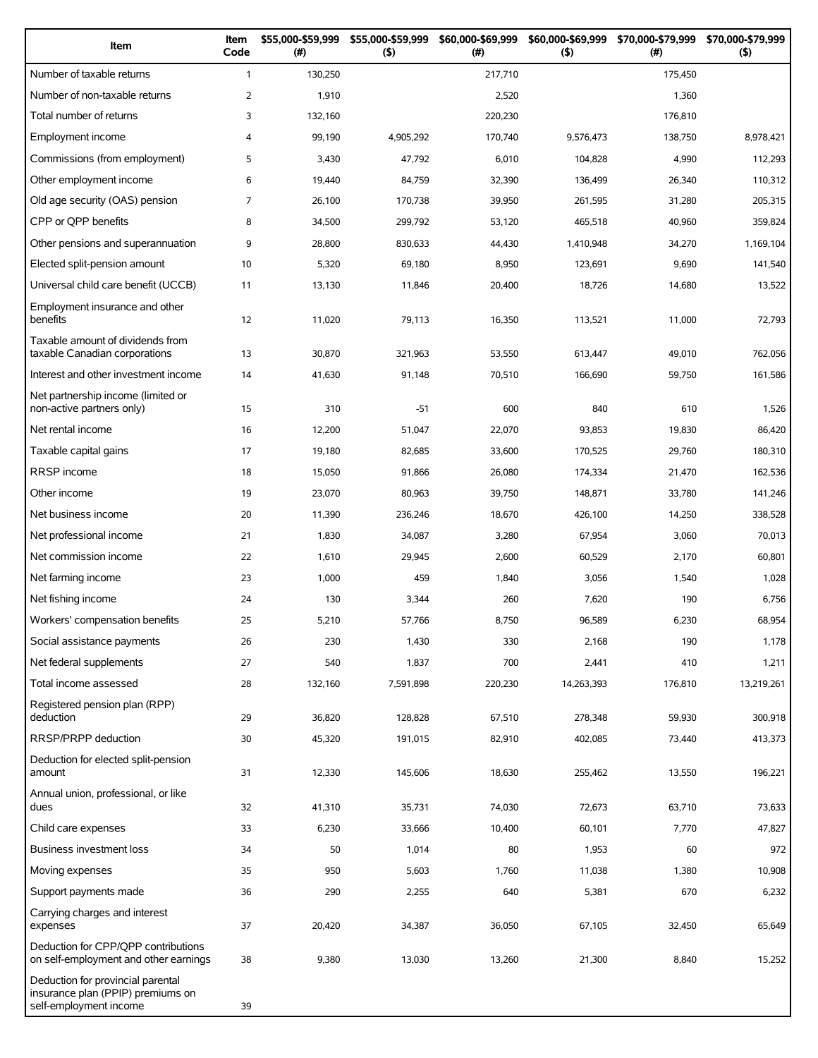| Item                                                                                             | Item<br>Code   | \$55,000-\$59,999<br>(#) | \$55,000-\$59,999<br>(5) | \$60,000-\$69,999<br>(#) | \$60,000-\$69,999<br>(5) | \$70,000-\$79,999<br>(#) | \$70,000-\$79,999<br>(5) |
|--------------------------------------------------------------------------------------------------|----------------|--------------------------|--------------------------|--------------------------|--------------------------|--------------------------|--------------------------|
| Number of taxable returns                                                                        | $\mathbf{1}$   | 130,250                  |                          | 217,710                  |                          | 175,450                  |                          |
| Number of non-taxable returns                                                                    | $\overline{2}$ | 1,910                    |                          | 2,520                    |                          | 1,360                    |                          |
| Total number of returns                                                                          | 3              | 132,160                  |                          | 220,230                  |                          | 176,810                  |                          |
| Employment income                                                                                | 4              | 99,190                   | 4,905,292                | 170,740                  | 9,576,473                | 138,750                  | 8,978,421                |
| Commissions (from employment)                                                                    | 5              | 3,430                    | 47,792                   | 6,010                    | 104,828                  | 4,990                    | 112,293                  |
| Other employment income                                                                          | 6              | 19,440                   | 84,759                   | 32,390                   | 136,499                  | 26,340                   | 110,312                  |
| Old age security (OAS) pension                                                                   | $\overline{7}$ | 26,100                   | 170,738                  | 39,950                   | 261,595                  | 31,280                   | 205,315                  |
| CPP or QPP benefits                                                                              | 8              | 34,500                   | 299,792                  | 53,120                   | 465,518                  | 40,960                   | 359,824                  |
| Other pensions and superannuation                                                                | 9              | 28,800                   | 830,633                  | 44,430                   | 1,410,948                | 34,270                   | 1,169,104                |
| Elected split-pension amount                                                                     | 10             | 5,320                    | 69,180                   | 8,950                    | 123,691                  | 9,690                    | 141,540                  |
| Universal child care benefit (UCCB)                                                              | 11             | 13,130                   | 11,846                   | 20,400                   | 18,726                   | 14,680                   | 13,522                   |
| Employment insurance and other<br>benefits                                                       | 12             | 11,020                   | 79,113                   | 16,350                   | 113,521                  | 11,000                   | 72,793                   |
| Taxable amount of dividends from<br>taxable Canadian corporations                                | 13             | 30,870                   | 321,963                  | 53,550                   | 613,447                  | 49,010                   | 762,056                  |
| Interest and other investment income                                                             | 14             | 41,630                   | 91,148                   | 70,510                   | 166,690                  | 59,750                   | 161,586                  |
| Net partnership income (limited or<br>non-active partners only)                                  | 15             | 310                      | $-51$                    | 600                      | 840                      | 610                      | 1,526                    |
| Net rental income                                                                                | 16             | 12,200                   | 51,047                   | 22,070                   | 93,853                   | 19,830                   | 86,420                   |
| Taxable capital gains                                                                            | 17             | 19,180                   | 82,685                   | 33,600                   | 170,525                  | 29,760                   | 180,310                  |
| <b>RRSP</b> income                                                                               | 18             | 15,050                   | 91,866                   | 26,080                   | 174,334                  | 21,470                   | 162,536                  |
| Other income                                                                                     | 19             | 23,070                   | 80,963                   | 39,750                   | 148,871                  | 33,780                   | 141,246                  |
| Net business income                                                                              | 20             | 11,390                   | 236,246                  | 18,670                   | 426,100                  | 14,250                   | 338,528                  |
| Net professional income                                                                          | 21             | 1,830                    | 34,087                   | 3,280                    | 67,954                   | 3,060                    | 70,013                   |
| Net commission income                                                                            | 22             | 1,610                    | 29,945                   | 2,600                    | 60,529                   | 2,170                    | 60,801                   |
| Net farming income                                                                               | 23             | 1,000                    | 459                      | 1,840                    | 3,056                    | 1,540                    | 1,028                    |
| Net fishing income                                                                               | 24             | 130                      | 3,344                    | 260                      | 7,620                    | 190                      | 6,756                    |
| Workers' compensation benefits                                                                   | 25             | 5,210                    | 57,766                   | 8,750                    | 96,589                   | 6,230                    | 68,954                   |
| Social assistance payments                                                                       | 26             | 230                      | 1,430                    | 330                      | 2,168                    | 190                      | 1,178                    |
| Net federal supplements                                                                          | 27             | 540                      | 1,837                    | 700                      | 2,441                    | 410                      | 1,211                    |
| Total income assessed                                                                            | 28             | 132,160                  | 7,591,898                | 220,230                  | 14,263,393               | 176,810                  | 13,219,261               |
| Registered pension plan (RPP)<br>deduction                                                       | 29             | 36,820                   | 128,828                  | 67,510                   | 278,348                  | 59,930                   | 300,918                  |
| RRSP/PRPP deduction                                                                              | 30             | 45,320                   | 191,015                  | 82,910                   | 402,085                  | 73,440                   | 413,373                  |
| Deduction for elected split-pension<br>amount                                                    | 31             | 12,330                   | 145,606                  | 18,630                   | 255,462                  | 13,550                   | 196,221                  |
| Annual union, professional, or like<br>dues                                                      | 32             | 41,310                   | 35,731                   | 74,030                   | 72,673                   | 63,710                   | 73,633                   |
| Child care expenses                                                                              | 33             | 6,230                    | 33,666                   | 10,400                   | 60,101                   | 7,770                    | 47,827                   |
| Business investment loss                                                                         | 34             | 50                       | 1,014                    | 80                       | 1,953                    | 60                       | 972                      |
| Moving expenses                                                                                  | 35             | 950                      | 5,603                    | 1,760                    | 11,038                   | 1,380                    | 10,908                   |
| Support payments made                                                                            | 36             | 290                      | 2,255                    | 640                      | 5,381                    | 670                      | 6,232                    |
| Carrying charges and interest<br>expenses                                                        | 37             | 20,420                   | 34,387                   | 36,050                   | 67,105                   | 32,450                   | 65,649                   |
| Deduction for CPP/QPP contributions<br>on self-employment and other earnings                     | 38             | 9,380                    | 13,030                   | 13,260                   | 21,300                   | 8,840                    | 15,252                   |
| Deduction for provincial parental<br>insurance plan (PPIP) premiums on<br>self-employment income | 39             |                          |                          |                          |                          |                          |                          |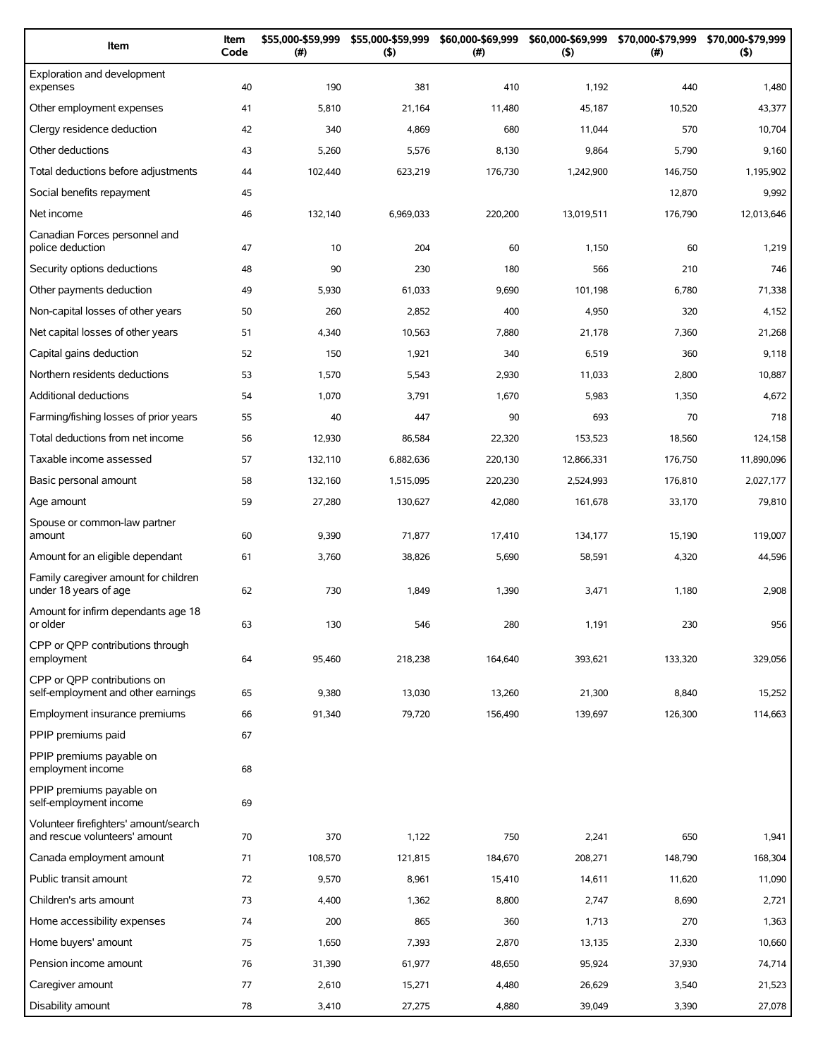| Item                                                                   | Item<br>Code | \$55,000-\$59,999<br>(#) | \$55,000-\$59,999<br>(5) | \$60,000-\$69,999<br>(# ) | \$60,000-\$69,999<br>(5) | \$70,000-\$79,999<br>(#) | \$70,000-\$79,999<br>(5) |
|------------------------------------------------------------------------|--------------|--------------------------|--------------------------|---------------------------|--------------------------|--------------------------|--------------------------|
| Exploration and development<br>expenses                                | 40           | 190                      | 381                      | 410                       | 1,192                    | 440                      | 1,480                    |
| Other employment expenses                                              | 41           | 5,810                    | 21,164                   | 11,480                    | 45,187                   | 10,520                   | 43,377                   |
| Clergy residence deduction                                             | 42           | 340                      | 4,869                    | 680                       | 11,044                   | 570                      | 10,704                   |
| Other deductions                                                       | 43           | 5,260                    | 5,576                    | 8,130                     | 9,864                    | 5,790                    | 9,160                    |
| Total deductions before adjustments                                    | 44           | 102,440                  | 623,219                  | 176,730                   | 1,242,900                | 146,750                  | 1,195,902                |
| Social benefits repayment                                              | 45           |                          |                          |                           |                          | 12,870                   | 9,992                    |
| Net income                                                             | 46           | 132,140                  | 6,969,033                | 220,200                   | 13,019,511               | 176,790                  | 12,013,646               |
| Canadian Forces personnel and<br>police deduction                      | 47           | 10                       | 204                      | 60                        | 1,150                    | 60                       | 1,219                    |
| Security options deductions                                            | 48           | 90                       | 230                      | 180                       | 566                      | 210                      | 746                      |
| Other payments deduction                                               | 49           | 5,930                    | 61,033                   | 9,690                     | 101,198                  | 6,780                    | 71,338                   |
| Non-capital losses of other years                                      | 50           | 260                      | 2,852                    | 400                       | 4,950                    | 320                      | 4,152                    |
| Net capital losses of other years                                      | 51           | 4,340                    | 10,563                   | 7,880                     | 21,178                   | 7,360                    | 21,268                   |
| Capital gains deduction                                                | 52           | 150                      | 1,921                    | 340                       | 6,519                    | 360                      | 9,118                    |
| Northern residents deductions                                          | 53           | 1,570                    | 5,543                    | 2,930                     | 11,033                   | 2,800                    | 10,887                   |
| Additional deductions                                                  | 54           | 1,070                    | 3,791                    | 1,670                     | 5,983                    | 1,350                    | 4,672                    |
| Farming/fishing losses of prior years                                  | 55           | 40                       | 447                      | 90                        | 693                      | 70                       | 718                      |
| Total deductions from net income                                       | 56           | 12,930                   | 86,584                   | 22,320                    | 153,523                  | 18,560                   | 124,158                  |
| Taxable income assessed                                                | 57           | 132,110                  | 6,882,636                | 220,130                   | 12,866,331               | 176,750                  | 11,890,096               |
| Basic personal amount                                                  | 58           | 132,160                  | 1,515,095                | 220,230                   | 2,524,993                | 176,810                  | 2,027,177                |
| Age amount                                                             | 59           | 27,280                   | 130,627                  | 42,080                    | 161,678                  | 33,170                   | 79,810                   |
| Spouse or common-law partner<br>amount                                 | 60           | 9,390                    | 71,877                   | 17,410                    | 134,177                  | 15,190                   | 119,007                  |
| Amount for an eligible dependant                                       | 61           | 3,760                    | 38,826                   | 5,690                     | 58,591                   | 4,320                    | 44,596                   |
| Family caregiver amount for children<br>under 18 years of age          | 62           | 730                      | 1,849                    | 1,390                     | 3,471                    | 1,180                    | 2,908                    |
| Amount for infirm dependants age 18<br>or older                        | 63           | 130                      | 546                      | 280                       | 1,191                    | 230                      | 956                      |
| CPP or OPP contributions through<br>employment                         | 64           | 95,460                   | 218,238                  | 164,640                   | 393,621                  | 133,320                  | 329,056                  |
| CPP or OPP contributions on<br>self-employment and other earnings      | 65           | 9,380                    | 13,030                   | 13,260                    | 21,300                   | 8,840                    | 15,252                   |
| Employment insurance premiums                                          | 66           | 91,340                   | 79,720                   | 156,490                   | 139,697                  | 126,300                  | 114,663                  |
| PPIP premiums paid                                                     | 67           |                          |                          |                           |                          |                          |                          |
| PPIP premiums payable on<br>employment income                          | 68           |                          |                          |                           |                          |                          |                          |
| PPIP premiums payable on<br>self-employment income                     | 69           |                          |                          |                           |                          |                          |                          |
| Volunteer firefighters' amount/search<br>and rescue volunteers' amount | 70           | 370                      | 1,122                    | 750                       | 2,241                    | 650                      | 1,941                    |
| Canada employment amount                                               | 71           | 108,570                  | 121,815                  | 184,670                   | 208,271                  | 148,790                  | 168,304                  |
| Public transit amount                                                  | 72           | 9,570                    | 8,961                    | 15,410                    | 14,611                   | 11,620                   | 11,090                   |
| Children's arts amount                                                 | 73           | 4,400                    | 1,362                    | 8,800                     | 2,747                    | 8,690                    | 2,721                    |
| Home accessibility expenses                                            | 74           | 200                      | 865                      | 360                       | 1,713                    | 270                      | 1,363                    |
| Home buyers' amount                                                    | 75           | 1,650                    | 7,393                    | 2,870                     | 13,135                   | 2,330                    | 10,660                   |
| Pension income amount                                                  | 76           | 31,390                   | 61,977                   | 48,650                    | 95,924                   | 37,930                   | 74,714                   |
| Caregiver amount                                                       | 77           | 2,610                    | 15,271                   | 4,480                     | 26,629                   | 3,540                    | 21,523                   |
| Disability amount                                                      | 78           | 3,410                    | 27,275                   | 4,880                     | 39,049                   | 3,390                    | 27,078                   |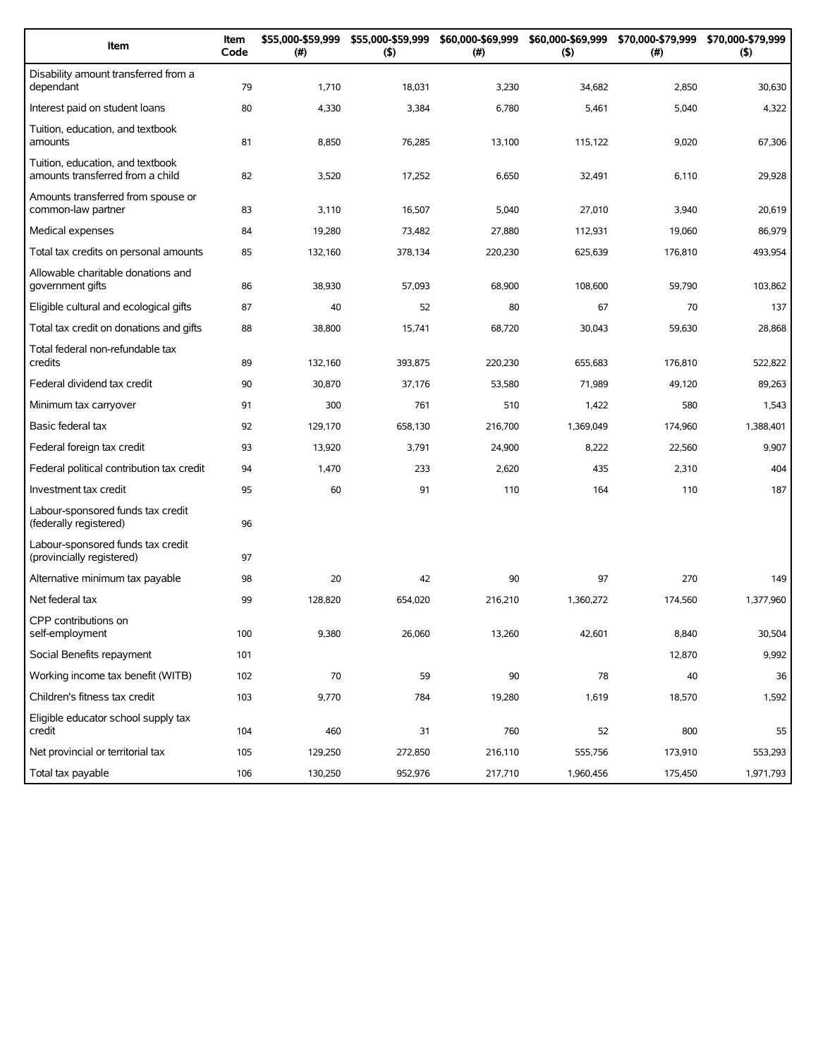| Item                                                                 | Item<br>Code | \$55,000-\$59,999<br>(#) | \$55,000-\$59,999<br>(5) | \$60,000-\$69,999<br>(#) | (5)       | \$60,000-\$69,999 \$70,000-\$79,999<br>$(\#)$ | \$70,000-\$79,999<br>(5) |
|----------------------------------------------------------------------|--------------|--------------------------|--------------------------|--------------------------|-----------|-----------------------------------------------|--------------------------|
| Disability amount transferred from a<br>dependant                    | 79           | 1,710                    | 18,031                   | 3,230                    | 34,682    | 2,850                                         | 30,630                   |
| Interest paid on student loans                                       | 80           | 4,330                    | 3,384                    | 6,780                    | 5,461     | 5,040                                         | 4,322                    |
| Tuition, education, and textbook<br>amounts                          | 81           | 8,850                    | 76,285                   | 13,100                   | 115,122   | 9,020                                         | 67,306                   |
| Tuition, education, and textbook<br>amounts transferred from a child | 82           | 3,520                    | 17,252                   | 6,650                    | 32,491    | 6,110                                         | 29,928                   |
| Amounts transferred from spouse or<br>common-law partner             | 83           | 3,110                    | 16,507                   | 5,040                    | 27,010    | 3,940                                         | 20,619                   |
| Medical expenses                                                     | 84           | 19,280                   | 73,482                   | 27,880                   | 112,931   | 19,060                                        | 86,979                   |
| Total tax credits on personal amounts                                | 85           | 132,160                  | 378,134                  | 220,230                  | 625,639   | 176,810                                       | 493,954                  |
| Allowable charitable donations and<br>government gifts               | 86           | 38,930                   | 57,093                   | 68,900                   | 108,600   | 59,790                                        | 103,862                  |
| Eligible cultural and ecological gifts                               | 87           | 40                       | 52                       | 80                       | 67        | 70                                            | 137                      |
| Total tax credit on donations and gifts                              | 88           | 38,800                   | 15,741                   | 68,720                   | 30,043    | 59,630                                        | 28,868                   |
| Total federal non-refundable tax<br>credits                          | 89           | 132,160                  | 393,875                  | 220,230                  | 655,683   | 176,810                                       | 522,822                  |
| Federal dividend tax credit                                          | 90           | 30,870                   | 37,176                   | 53,580                   | 71,989    | 49,120                                        | 89,263                   |
| Minimum tax carryover                                                | 91           | 300                      | 761                      | 510                      | 1,422     | 580                                           | 1,543                    |
| Basic federal tax                                                    | 92           | 129,170                  | 658,130                  | 216,700                  | 1,369,049 | 174,960                                       | 1,388,401                |
| Federal foreign tax credit                                           | 93           | 13,920                   | 3,791                    | 24,900                   | 8,222     | 22,560                                        | 9,907                    |
| Federal political contribution tax credit                            | 94           | 1,470                    | 233                      | 2,620                    | 435       | 2,310                                         | 404                      |
| Investment tax credit                                                | 95           | 60                       | 91                       | 110                      | 164       | 110                                           | 187                      |
| Labour-sponsored funds tax credit<br>(federally registered)          | 96           |                          |                          |                          |           |                                               |                          |
| Labour-sponsored funds tax credit<br>(provincially registered)       | 97           |                          |                          |                          |           |                                               |                          |
| Alternative minimum tax payable                                      | 98           | 20                       | 42                       | 90                       | 97        | 270                                           | 149                      |
| Net federal tax                                                      | 99           | 128,820                  | 654,020                  | 216,210                  | 1,360,272 | 174,560                                       | 1,377,960                |
| CPP contributions on<br>self-employment                              | 100          | 9,380                    | 26,060                   | 13,260                   | 42,601    | 8,840                                         | 30,504                   |
| Social Benefits repayment                                            | 101          |                          |                          |                          |           | 12,870                                        | 9,992                    |
| Working income tax benefit (WITB)                                    | 102          | 70                       | 59                       | 90                       | 78        | 40                                            | 36                       |
| Children's fitness tax credit                                        | 103          | 9,770                    | 784                      | 19,280                   | 1,619     | 18,570                                        | 1,592                    |
| Eligible educator school supply tax<br>credit                        | 104          | 460                      | 31                       | 760                      | 52        | 800                                           | 55                       |
| Net provincial or territorial tax                                    | 105          | 129,250                  | 272,850                  | 216,110                  | 555,756   | 173,910                                       | 553,293                  |
| Total tax payable                                                    | 106          | 130,250                  | 952,976                  | 217,710                  | 1,960,456 | 175,450                                       | 1,971,793                |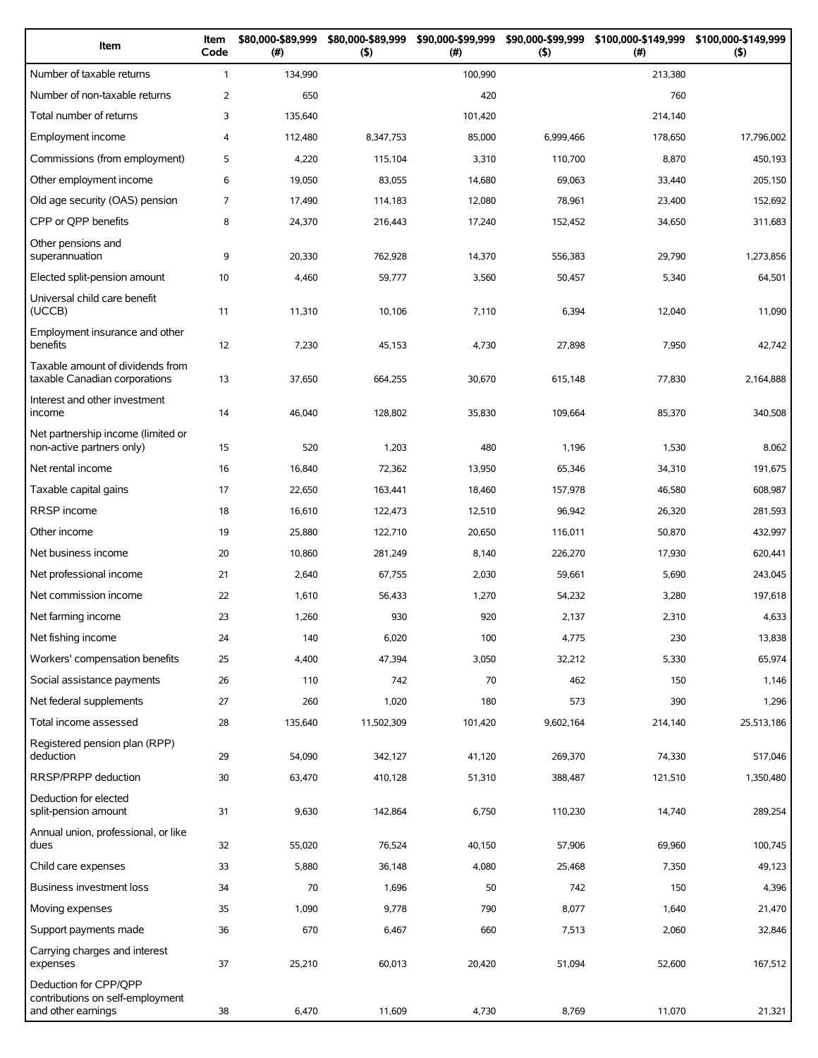| Item                                                                            | Item<br>Code   | \$80,000-\$89,999<br>(#) | \$80,000-\$89,999<br>$($ \$) | \$90,000-\$99,999<br>(# ) | (5)       | \$90,000-\$99,999 \$100,000-\$149,999<br>(#) | \$100,000-\$149,999<br>(5) |
|---------------------------------------------------------------------------------|----------------|--------------------------|------------------------------|---------------------------|-----------|----------------------------------------------|----------------------------|
| Number of taxable returns                                                       | $\mathbf{1}$   | 134,990                  |                              | 100,990                   |           | 213,380                                      |                            |
| Number of non-taxable returns                                                   | 2              | 650                      |                              | 420                       |           | 760                                          |                            |
| Total number of returns                                                         | 3              | 135,640                  |                              | 101,420                   |           | 214,140                                      |                            |
| Employment income                                                               | $\overline{4}$ | 112,480                  | 8,347,753                    | 85,000                    | 6,999,466 | 178,650                                      | 17,796,002                 |
| Commissions (from employment)                                                   | 5              | 4,220                    | 115,104                      | 3,310                     | 110,700   | 8,870                                        | 450,193                    |
| Other employment income                                                         | 6              | 19,050                   | 83,055                       | 14,680                    | 69,063    | 33,440                                       | 205,150                    |
| Old age security (OAS) pension                                                  | $\overline{7}$ | 17,490                   | 114,183                      | 12,080                    | 78,961    | 23,400                                       | 152,692                    |
| CPP or QPP benefits                                                             | 8              | 24,370                   | 216,443                      | 17,240                    | 152,452   | 34,650                                       | 311,683                    |
| Other pensions and<br>superannuation                                            | 9              | 20,330                   | 762,928                      | 14,370                    | 556,383   | 29,790                                       | 1,273,856                  |
| Elected split-pension amount                                                    | 10             | 4,460                    | 59,777                       | 3,560                     | 50,457    | 5,340                                        | 64,501                     |
| Universal child care benefit<br>(UCCB)                                          | 11             | 11,310                   | 10,106                       | 7,110                     | 6,394     | 12,040                                       | 11,090                     |
| Employment insurance and other<br>benefits                                      | 12             | 7,230                    | 45,153                       | 4,730                     | 27,898    | 7,950                                        | 42,742                     |
| Taxable amount of dividends from<br>taxable Canadian corporations               | 13             | 37,650                   | 664,255                      | 30,670                    | 615,148   | 77,830                                       | 2,164,888                  |
| Interest and other investment<br>income                                         | 14             | 46,040                   | 128,802                      | 35,830                    | 109,664   | 85,370                                       | 340,508                    |
| Net partnership income (limited or<br>non-active partners only)                 | 15             | 520                      | 1,203                        | 480                       | 1,196     | 1,530                                        | 8,062                      |
| Net rental income                                                               | 16             | 16,840                   | 72,362                       | 13,950                    | 65,346    | 34,310                                       | 191,675                    |
| Taxable capital gains                                                           | 17             | 22,650                   | 163,441                      | 18,460                    | 157,978   | 46,580                                       | 608,987                    |
| <b>RRSP</b> income                                                              | 18             | 16,610                   | 122,473                      | 12,510                    | 96,942    | 26,320                                       | 281,593                    |
| Other income                                                                    | 19             | 25,880                   | 122,710                      | 20,650                    | 116,011   | 50,870                                       | 432,997                    |
| Net business income                                                             | 20             | 10,860                   | 281,249                      | 8,140                     | 226,270   | 17,930                                       | 620,441                    |
| Net professional income                                                         | 21             | 2,640                    | 67,755                       | 2,030                     | 59,661    | 5,690                                        | 243,045                    |
| Net commission income                                                           | 22             | 1,610                    | 56,433                       | 1,270                     | 54,232    | 3,280                                        | 197,618                    |
| Net farming income                                                              | 23             | 1,260                    | 930                          | 920                       | 2,137     | 2,310                                        | 4,633                      |
| Net fishing income                                                              | 24             | 140                      | 6,020                        | 100                       | 4,775     | 230                                          | 13,838                     |
| Workers' compensation benefits                                                  | 25             | 4,400                    | 47,394                       | 3,050                     | 32,212    | 5,330                                        | 65,974                     |
| Social assistance payments                                                      | 26             | 110                      | 742                          | 70                        | 462       | 150                                          | 1,146                      |
| Net federal supplements                                                         | 27             | 260                      | 1,020                        | 180                       | 573       | 390                                          | 1,296                      |
| Total income assessed                                                           | 28             | 135,640                  | 11,502,309                   | 101,420                   | 9,602,164 | 214,140                                      | 25,513,186                 |
| Registered pension plan (RPP)<br>deduction                                      | 29             | 54,090                   | 342,127                      | 41,120                    | 269,370   | 74,330                                       | 517,046                    |
| RRSP/PRPP deduction                                                             | 30             | 63,470                   | 410,128                      | 51,310                    | 388,487   | 121,510                                      | 1,350,480                  |
| Deduction for elected<br>split-pension amount                                   | 31             | 9,630                    | 142,864                      | 6,750                     | 110,230   | 14,740                                       | 289,254                    |
| Annual union, professional, or like<br>dues                                     | 32             | 55,020                   | 76,524                       | 40,150                    | 57,906    | 69,960                                       | 100,745                    |
| Child care expenses                                                             | 33             | 5,880                    | 36,148                       | 4,080                     | 25,468    | 7,350                                        | 49,123                     |
| <b>Business investment loss</b>                                                 | 34             | 70                       | 1,696                        | 50                        | 742       | 150                                          | 4,396                      |
| Moving expenses                                                                 | 35             | 1,090                    | 9,778                        | 790                       | 8,077     | 1,640                                        | 21,470                     |
| Support payments made                                                           | 36             | 670                      | 6,467                        | 660                       | 7,513     | 2,060                                        | 32,846                     |
| Carrying charges and interest<br>expenses                                       | 37             | 25,210                   | 60,013                       | 20,420                    | 51,094    | 52,600                                       | 167,512                    |
| Deduction for CPP/QPP<br>contributions on self-employment<br>and other earnings | 38             | 6,470                    | 11,609                       | 4,730                     | 8,769     | 11,070                                       | 21,321                     |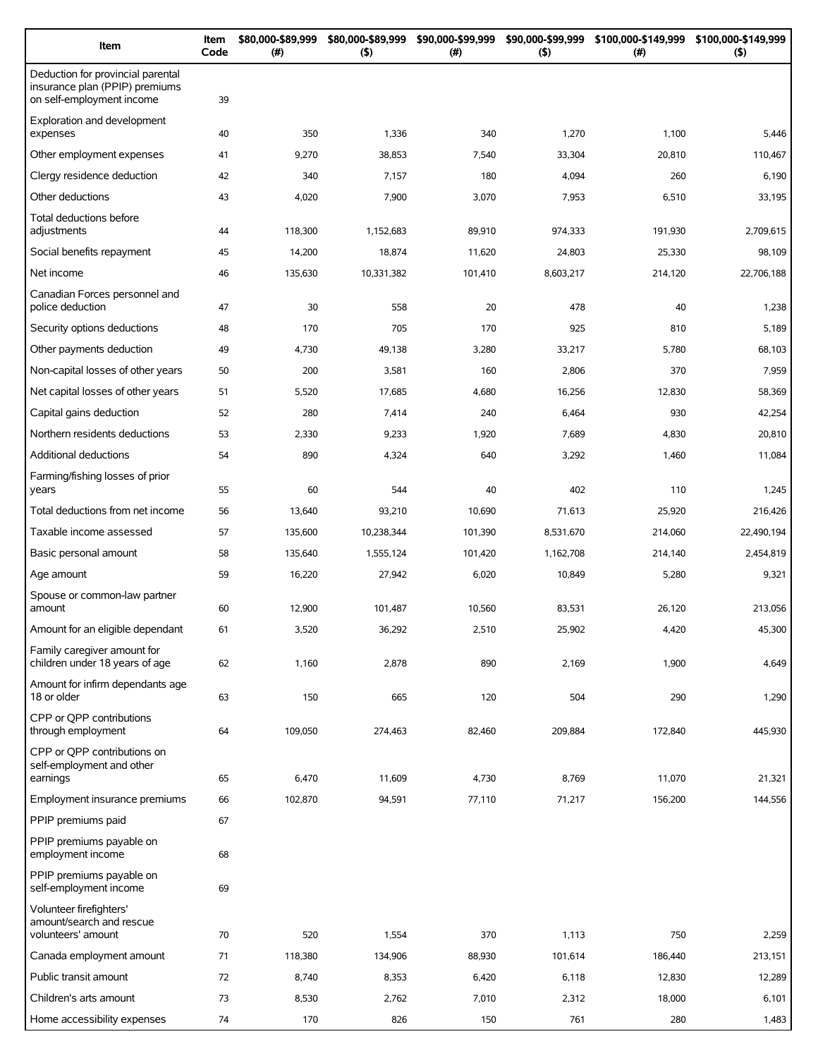| Item                                                                                             | Item<br>Code | \$80,000-\$89,999<br>(# ) | \$80,000-\$89,999<br>$($ \$) | \$90,000-\$99,999<br>(# ) | \$90,000-\$99,999<br>(5) | \$100,000-\$149,999<br>(#) | \$100,000-\$149,999<br>$($ \$) |
|--------------------------------------------------------------------------------------------------|--------------|---------------------------|------------------------------|---------------------------|--------------------------|----------------------------|--------------------------------|
| Deduction for provincial parental<br>insurance plan (PPIP) premiums<br>on self-employment income | 39           |                           |                              |                           |                          |                            |                                |
| Exploration and development<br>expenses                                                          | 40           | 350                       | 1,336                        | 340                       | 1,270                    | 1,100                      | 5,446                          |
| Other employment expenses                                                                        | 41           | 9,270                     | 38,853                       | 7,540                     | 33,304                   | 20,810                     | 110,467                        |
| Clergy residence deduction                                                                       | 42           | 340                       | 7,157                        | 180                       | 4,094                    | 260                        | 6,190                          |
| Other deductions                                                                                 | 43           | 4,020                     | 7,900                        | 3,070                     | 7,953                    | 6,510                      | 33,195                         |
| Total deductions before<br>adjustments                                                           | 44           | 118,300                   | 1,152,683                    | 89,910                    | 974,333                  | 191,930                    | 2,709,615                      |
| Social benefits repayment                                                                        | 45           | 14,200                    | 18,874                       | 11,620                    | 24,803                   | 25,330                     | 98,109                         |
| Net income                                                                                       | 46           | 135,630                   | 10,331,382                   | 101,410                   | 8,603,217                | 214,120                    | 22,706,188                     |
| Canadian Forces personnel and<br>police deduction                                                | 47           | 30                        | 558                          | 20                        | 478                      | 40                         | 1,238                          |
| Security options deductions                                                                      | 48           | 170                       | 705                          | 170                       | 925                      | 810                        | 5,189                          |
| Other payments deduction                                                                         | 49           | 4,730                     | 49,138                       | 3,280                     | 33,217                   | 5,780                      | 68,103                         |
| Non-capital losses of other years                                                                | 50           | 200                       | 3,581                        | 160                       | 2,806                    | 370                        | 7,959                          |
| Net capital losses of other years                                                                | 51           | 5,520                     | 17,685                       | 4,680                     | 16,256                   | 12,830                     | 58,369                         |
| Capital gains deduction                                                                          | 52           | 280                       | 7,414                        | 240                       | 6,464                    | 930                        | 42,254                         |
| Northern residents deductions                                                                    | 53           | 2,330                     | 9,233                        | 1,920                     | 7,689                    | 4,830                      | 20,810                         |
| Additional deductions                                                                            | 54           | 890                       | 4,324                        | 640                       | 3,292                    | 1,460                      | 11,084                         |
| Farming/fishing losses of prior<br>years                                                         | 55           | 60                        | 544                          | 40                        | 402                      | 110                        | 1,245                          |
| Total deductions from net income                                                                 | 56           | 13,640                    | 93,210                       | 10,690                    | 71,613                   | 25,920                     | 216,426                        |
| Taxable income assessed                                                                          | 57           | 135,600                   | 10,238,344                   | 101,390                   | 8,531,670                | 214,060                    | 22,490,194                     |
| Basic personal amount                                                                            | 58           | 135,640                   | 1,555,124                    | 101,420                   | 1,162,708                | 214,140                    | 2,454,819                      |
| Age amount                                                                                       | 59           | 16,220                    | 27,942                       | 6,020                     | 10,849                   | 5,280                      | 9,321                          |
| Spouse or common-law partner<br>amount                                                           | 60           | 12,900                    | 101,487                      | 10,560                    | 83,531                   | 26,120                     | 213,056                        |
| Amount for an eligible dependant                                                                 | 61           | 3,520                     | 36,292                       | 2,510                     | 25,902                   | 4,420                      | 45,300                         |
| Family caregiver amount for                                                                      |              |                           |                              |                           |                          |                            |                                |
| children under 18 years of age<br>Amount for infirm dependants age                               | 62           | 1,160                     | 2,878                        | 890                       | 2,169                    | 1,900                      | 4,649                          |
| 18 or older                                                                                      | 63           | 150                       | 665                          | 120                       | 504                      | 290                        | 1,290                          |
| CPP or OPP contributions<br>through employment                                                   | 64           | 109,050                   | 274,463                      | 82,460                    | 209,884                  | 172,840                    | 445,930                        |
| CPP or QPP contributions on<br>self-employment and other<br>earnings                             | 65           | 6,470                     | 11,609                       | 4,730                     | 8,769                    | 11,070                     | 21,321                         |
| Employment insurance premiums                                                                    | 66           | 102,870                   | 94,591                       | 77,110                    | 71,217                   | 156,200                    | 144,556                        |
| PPIP premiums paid                                                                               | 67           |                           |                              |                           |                          |                            |                                |
| PPIP premiums payable on<br>employment income                                                    | 68           |                           |                              |                           |                          |                            |                                |
| PPIP premiums payable on<br>self-employment income                                               | 69           |                           |                              |                           |                          |                            |                                |
| Volunteer firefighters'<br>amount/search and rescue<br>volunteers' amount                        | 70           | 520                       | 1,554                        | 370                       | 1,113                    | 750                        | 2,259                          |
| Canada employment amount                                                                         | 71           | 118,380                   | 134,906                      | 88,930                    | 101,614                  | 186,440                    | 213,151                        |
| Public transit amount                                                                            | 72           | 8,740                     | 8,353                        | 6,420                     | 6,118                    | 12,830                     | 12,289                         |
| Children's arts amount                                                                           | 73           | 8,530                     | 2,762                        | 7,010                     | 2,312                    | 18,000                     | 6,101                          |
| Home accessibility expenses                                                                      | 74           | 170                       | 826                          | 150                       | 761                      | 280                        | 1,483                          |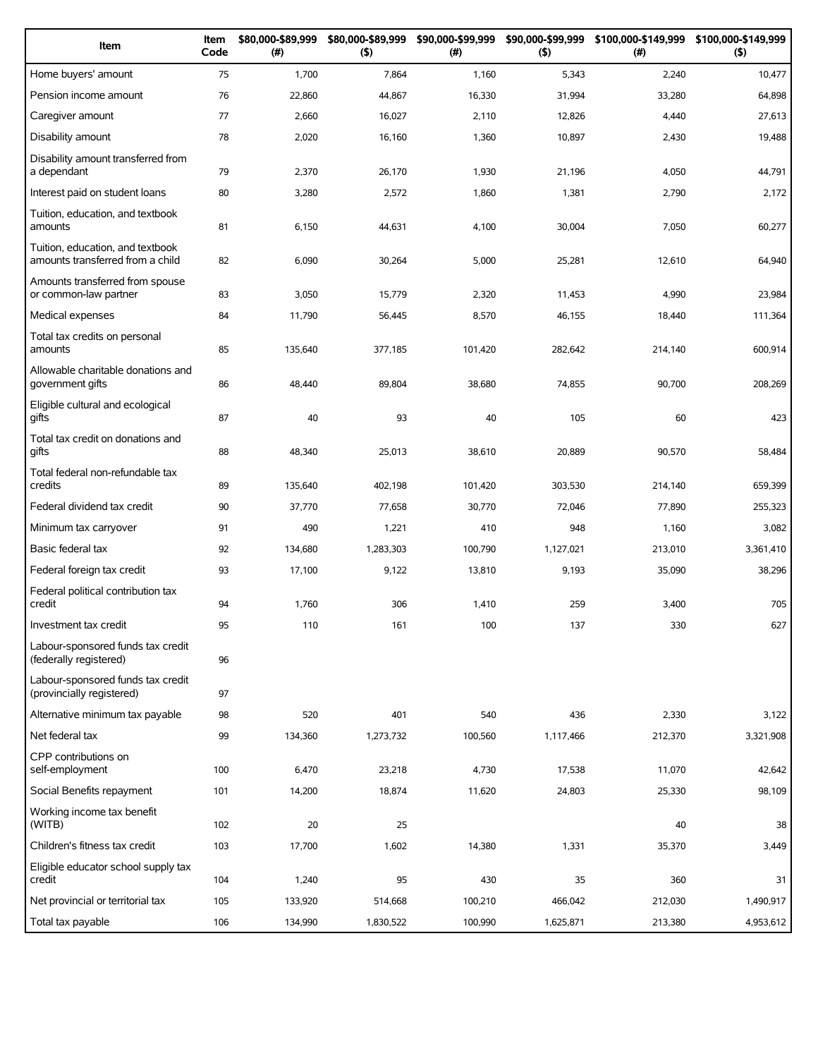| Item                                                                 | Item<br>Code | \$80,000-\$89,999<br>(#) | \$80,000-\$89,999<br>(5) | \$90,000-\$99,999<br>(# ) | \$90,000-\$99,999<br>(5) | (# )    | \$100,000-\$149,999 \$100,000-\$149,999<br>(5) |
|----------------------------------------------------------------------|--------------|--------------------------|--------------------------|---------------------------|--------------------------|---------|------------------------------------------------|
| Home buyers' amount                                                  | 75           | 1,700                    | 7,864                    | 1,160                     | 5,343                    | 2,240   | 10,477                                         |
| Pension income amount                                                | 76           | 22,860                   | 44,867                   | 16,330                    | 31,994                   | 33,280  | 64,898                                         |
| Caregiver amount                                                     | 77           | 2,660                    | 16,027                   | 2,110                     | 12,826                   | 4,440   | 27,613                                         |
| Disability amount                                                    | 78           | 2,020                    | 16,160                   | 1,360                     | 10,897                   | 2,430   | 19,488                                         |
| Disability amount transferred from<br>a dependant                    | 79           | 2,370                    | 26,170                   | 1,930                     | 21,196                   | 4,050   | 44,791                                         |
| Interest paid on student loans                                       | 80           | 3,280                    | 2,572                    | 1,860                     | 1,381                    | 2,790   | 2,172                                          |
| Tuition, education, and textbook<br>amounts                          | 81           | 6,150                    | 44,631                   | 4,100                     | 30,004                   | 7,050   | 60,277                                         |
| Tuition, education, and textbook<br>amounts transferred from a child | 82           | 6,090                    | 30,264                   | 5,000                     | 25,281                   | 12,610  | 64,940                                         |
| Amounts transferred from spouse<br>or common-law partner             | 83           | 3,050                    | 15,779                   | 2,320                     | 11,453                   | 4,990   | 23,984                                         |
| Medical expenses                                                     | 84           | 11,790                   | 56,445                   | 8,570                     | 46,155                   | 18,440  | 111,364                                        |
| Total tax credits on personal<br>amounts                             | 85           | 135,640                  | 377,185                  | 101,420                   | 282,642                  | 214,140 | 600,914                                        |
| Allowable charitable donations and<br>government gifts               | 86           | 48,440                   | 89,804                   | 38,680                    | 74,855                   | 90,700  | 208,269                                        |
| Eligible cultural and ecological<br>gifts                            | 87           | 40                       | 93                       | 40                        | 105                      | 60      | 423                                            |
| Total tax credit on donations and<br>gifts                           | 88           | 48,340                   | 25,013                   | 38,610                    | 20,889                   | 90,570  | 58,484                                         |
| Total federal non-refundable tax<br>credits                          | 89           | 135,640                  | 402,198                  | 101,420                   | 303,530                  | 214,140 | 659,399                                        |
| Federal dividend tax credit                                          | 90           | 37,770                   | 77,658                   | 30,770                    | 72,046                   | 77,890  | 255,323                                        |
| Minimum tax carryover                                                | 91           | 490                      | 1,221                    | 410                       | 948                      | 1,160   | 3,082                                          |
| Basic federal tax                                                    | 92           | 134,680                  | 1,283,303                | 100,790                   | 1,127,021                | 213,010 | 3,361,410                                      |
| Federal foreign tax credit                                           | 93           | 17,100                   | 9,122                    | 13,810                    | 9,193                    | 35,090  | 38,296                                         |
| Federal political contribution tax<br>credit                         | 94           | 1,760                    | 306                      | 1,410                     | 259                      | 3,400   | 705                                            |
| Investment tax credit                                                | 95           | 110                      | 161                      | 100                       | 137                      | 330     | 627                                            |
| Labour-sponsored funds tax credit<br>(federally registered)          | 96           |                          |                          |                           |                          |         |                                                |
| Labour-sponsored funds tax credit<br>(provincially registered)       | 97           |                          |                          |                           |                          |         |                                                |
| Alternative minimum tax payable                                      | 98           | 520                      | 401                      | 540                       | 436                      | 2,330   | 3,122                                          |
| Net federal tax                                                      | 99           | 134,360                  | 1,273,732                | 100,560                   | 1,117,466                | 212,370 | 3,321,908                                      |
| CPP contributions on<br>self-employment                              | 100          | 6,470                    | 23,218                   | 4,730                     | 17,538                   | 11,070  | 42,642                                         |
| Social Benefits repayment                                            | 101          | 14,200                   | 18,874                   | 11,620                    | 24,803                   | 25,330  | 98,109                                         |
| Working income tax benefit<br>(WITB)                                 | 102          | 20                       | 25                       |                           |                          | 40      | 38                                             |
| Children's fitness tax credit                                        | 103          | 17,700                   | 1,602                    | 14,380                    | 1,331                    | 35,370  | 3,449                                          |
| Eligible educator school supply tax<br>credit                        | 104          | 1,240                    | 95                       | 430                       | 35                       | 360     | 31                                             |
| Net provincial or territorial tax                                    | 105          | 133,920                  | 514,668                  | 100,210                   | 466,042                  | 212,030 | 1,490,917                                      |
| Total tax payable                                                    | 106          | 134,990                  | 1,830,522                | 100,990                   | 1,625,871                | 213,380 | 4,953,612                                      |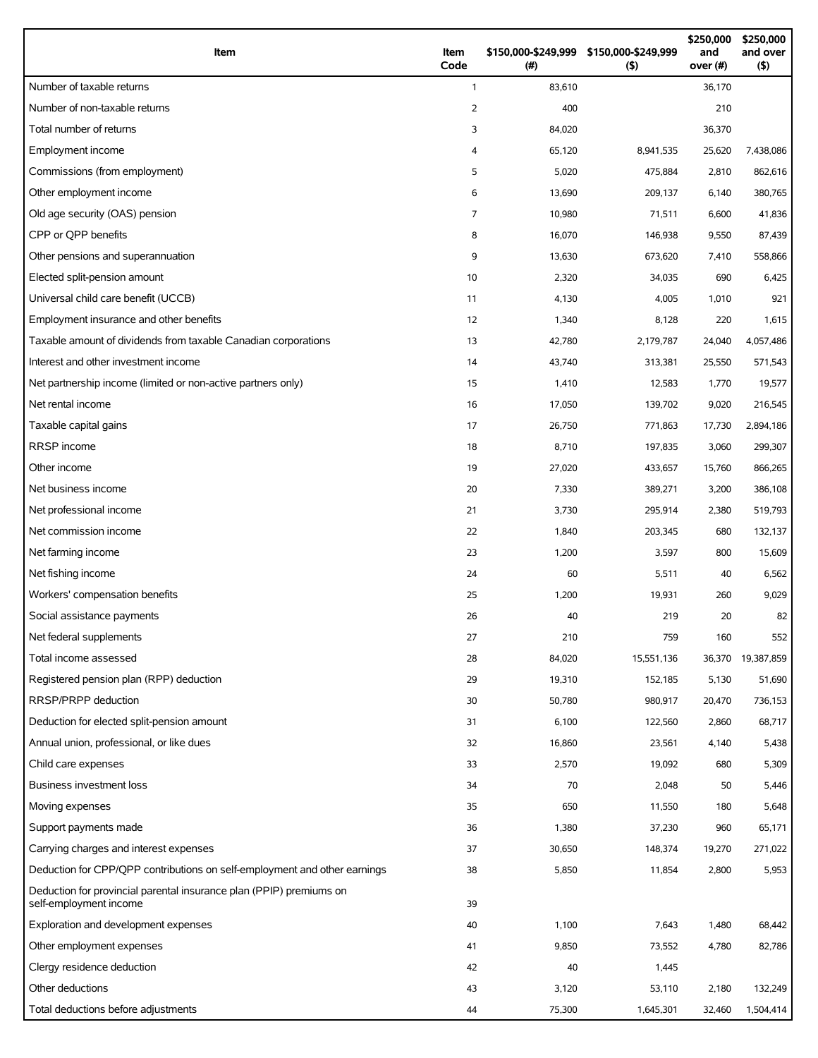| Item                                                                                          | Item<br>Code   | \$150,000-\$249,999 \$150,000-\$249,999<br>(#) | (5)        | \$250,000<br>and<br>over (#) | \$250,000<br>and over<br>(5) |
|-----------------------------------------------------------------------------------------------|----------------|------------------------------------------------|------------|------------------------------|------------------------------|
| Number of taxable returns                                                                     | $\mathbf{1}$   | 83,610                                         |            | 36,170                       |                              |
| Number of non-taxable returns                                                                 | 2              | 400                                            |            | 210                          |                              |
| Total number of returns                                                                       | 3              | 84,020                                         |            | 36,370                       |                              |
| Employment income                                                                             | 4              | 65,120                                         | 8,941,535  | 25,620                       | 7,438,086                    |
| Commissions (from employment)                                                                 | 5              | 5,020                                          | 475,884    | 2,810                        | 862,616                      |
| Other employment income                                                                       | 6              | 13,690                                         | 209,137    | 6,140                        | 380,765                      |
| Old age security (OAS) pension                                                                | $\overline{7}$ | 10,980                                         | 71,511     | 6,600                        | 41,836                       |
| CPP or OPP benefits                                                                           | 8              | 16,070                                         | 146,938    | 9,550                        | 87,439                       |
| Other pensions and superannuation                                                             | 9              | 13,630                                         | 673,620    | 7,410                        | 558,866                      |
| Elected split-pension amount                                                                  | 10             | 2,320                                          | 34,035     | 690                          | 6,425                        |
| Universal child care benefit (UCCB)                                                           | 11             | 4,130                                          | 4,005      | 1,010                        | 921                          |
| Employment insurance and other benefits                                                       | 12             | 1,340                                          | 8,128      | 220                          | 1,615                        |
| Taxable amount of dividends from taxable Canadian corporations                                | 13             | 42,780                                         | 2,179,787  | 24,040                       | 4,057,486                    |
| Interest and other investment income                                                          | 14             | 43,740                                         | 313,381    | 25,550                       | 571,543                      |
| Net partnership income (limited or non-active partners only)                                  | 15             | 1,410                                          | 12,583     | 1,770                        | 19,577                       |
| Net rental income                                                                             | 16             | 17,050                                         | 139,702    | 9,020                        | 216,545                      |
| Taxable capital gains                                                                         | 17             | 26,750                                         | 771,863    | 17,730                       | 2,894,186                    |
| <b>RRSP</b> income                                                                            | 18             | 8,710                                          | 197,835    | 3,060                        | 299,307                      |
| Other income                                                                                  | 19             | 27,020                                         | 433,657    | 15,760                       | 866,265                      |
| Net business income                                                                           | 20             | 7,330                                          | 389,271    | 3,200                        | 386,108                      |
| Net professional income                                                                       | 21             | 3,730                                          | 295,914    | 2,380                        | 519,793                      |
| Net commission income                                                                         | 22             | 1,840                                          | 203,345    | 680                          | 132,137                      |
| Net farming income                                                                            | 23             | 1,200                                          | 3,597      | 800                          | 15,609                       |
| Net fishing income                                                                            | 24             | 60                                             | 5,511      | 40                           | 6,562                        |
| Workers' compensation benefits                                                                | 25             | 1,200                                          | 19,931     | 260                          | 9,029                        |
| Social assistance payments                                                                    | 26             | 40                                             | 219        | 20                           | 82                           |
| Net federal supplements                                                                       | 27             | 210                                            | 759        | 160                          | 552                          |
| Total income assessed                                                                         | 28             | 84,020                                         | 15,551,136 | 36,370                       | 19,387,859                   |
| Registered pension plan (RPP) deduction                                                       | 29             | 19,310                                         | 152,185    | 5,130                        | 51,690                       |
| RRSP/PRPP deduction                                                                           | 30             | 50,780                                         | 980,917    | 20,470                       | 736,153                      |
| Deduction for elected split-pension amount                                                    | 31             | 6,100                                          | 122,560    | 2,860                        | 68,717                       |
| Annual union, professional, or like dues                                                      | 32             | 16,860                                         | 23,561     | 4,140                        | 5,438                        |
| Child care expenses                                                                           | 33             | 2,570                                          | 19,092     | 680                          | 5,309                        |
| <b>Business investment loss</b>                                                               | 34             | 70                                             | 2,048      | 50                           | 5,446                        |
| Moving expenses                                                                               | 35             | 650                                            | 11,550     | 180                          | 5,648                        |
| Support payments made                                                                         | 36             | 1,380                                          | 37,230     | 960                          | 65,171                       |
| Carrying charges and interest expenses                                                        | 37             | 30,650                                         | 148,374    | 19,270                       | 271,022                      |
| Deduction for CPP/QPP contributions on self-employment and other earnings                     | 38             | 5,850                                          | 11,854     | 2,800                        | 5,953                        |
| Deduction for provincial parental insurance plan (PPIP) premiums on<br>self-employment income | 39             |                                                |            |                              |                              |
| Exploration and development expenses                                                          | 40             | 1,100                                          | 7,643      | 1,480                        | 68,442                       |
| Other employment expenses                                                                     | 41             | 9,850                                          | 73,552     | 4,780                        | 82,786                       |
| Clergy residence deduction                                                                    | 42             | 40                                             | 1,445      |                              |                              |
| Other deductions                                                                              | 43             | 3,120                                          | 53,110     | 2,180                        | 132,249                      |
| Total deductions before adjustments                                                           | 44             | 75,300                                         | 1,645,301  | 32,460                       | 1,504,414                    |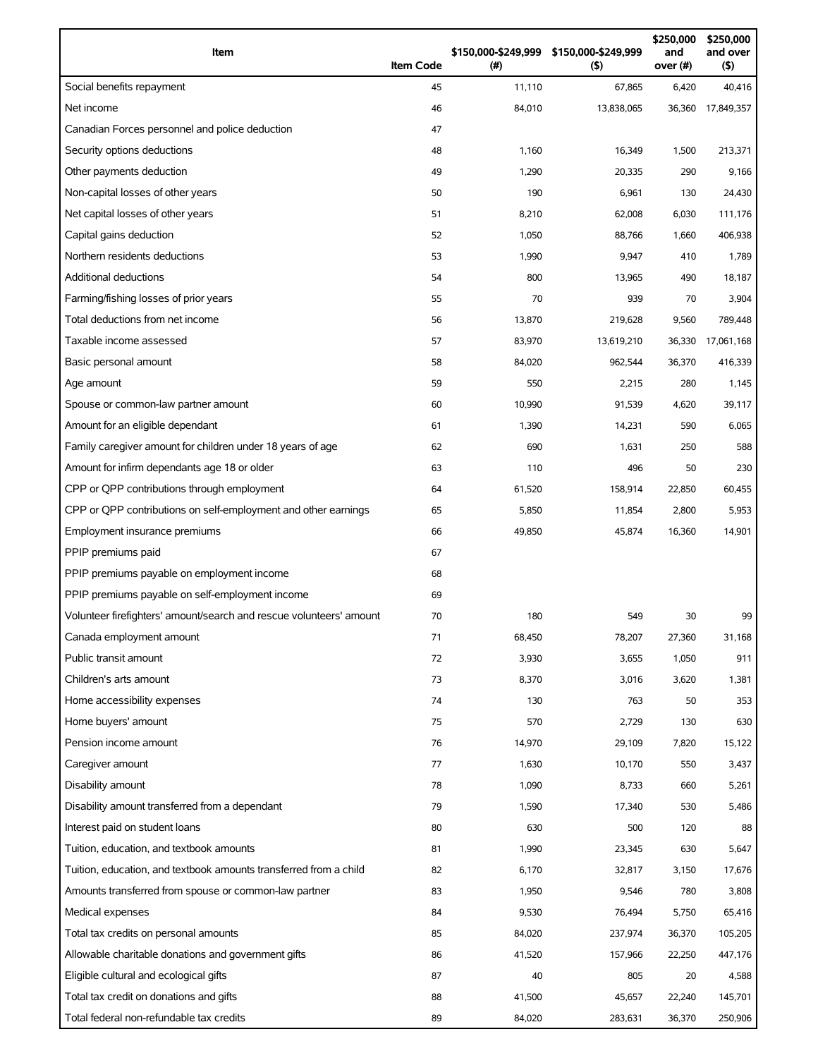| Item                                                                | <b>Item Code</b> | \$150,000-\$249,999<br>(#) | \$150,000-\$249,999<br>(5) | \$250,000<br>and<br>over (#) | \$250,000<br>and over<br>(5) |
|---------------------------------------------------------------------|------------------|----------------------------|----------------------------|------------------------------|------------------------------|
| Social benefits repayment                                           | 45               | 11,110                     | 67,865                     | 6,420                        | 40,416                       |
| Net income                                                          | 46               | 84,010                     | 13,838,065                 | 36,360                       | 17,849,357                   |
| Canadian Forces personnel and police deduction                      | 47               |                            |                            |                              |                              |
| Security options deductions                                         | 48               | 1,160                      | 16,349                     | 1,500                        | 213,371                      |
| Other payments deduction                                            | 49               | 1,290                      | 20,335                     | 290                          | 9,166                        |
| Non-capital losses of other years                                   | 50               | 190                        | 6,961                      | 130                          | 24,430                       |
| Net capital losses of other years                                   | 51               | 8,210                      | 62,008                     | 6,030                        | 111,176                      |
| Capital gains deduction                                             | 52               | 1,050                      | 88,766                     | 1,660                        | 406,938                      |
| Northern residents deductions                                       | 53               | 1,990                      | 9,947                      | 410                          | 1,789                        |
| <b>Additional deductions</b>                                        | 54               | 800                        | 13,965                     | 490                          | 18,187                       |
| Farming/fishing losses of prior years                               | 55               | 70                         | 939                        | 70                           | 3,904                        |
| Total deductions from net income                                    | 56               | 13,870                     | 219,628                    | 9,560                        | 789,448                      |
| Taxable income assessed                                             | 57               | 83,970                     | 13,619,210                 | 36,330                       | 17,061,168                   |
| Basic personal amount                                               | 58               | 84,020                     | 962,544                    | 36,370                       | 416,339                      |
| Age amount                                                          | 59               | 550                        | 2,215                      | 280                          | 1,145                        |
| Spouse or common-law partner amount                                 | 60               | 10,990                     | 91,539                     | 4,620                        | 39,117                       |
| Amount for an eligible dependant                                    | 61               | 1,390                      | 14,231                     | 590                          | 6,065                        |
| Family caregiver amount for children under 18 years of age          | 62               | 690                        | 1,631                      | 250                          | 588                          |
| Amount for infirm dependants age 18 or older                        | 63               | 110                        | 496                        | 50                           | 230                          |
| CPP or QPP contributions through employment                         | 64               | 61,520                     | 158,914                    | 22,850                       | 60,455                       |
| CPP or QPP contributions on self-employment and other earnings      | 65               | 5,850                      | 11,854                     | 2,800                        | 5,953                        |
| Employment insurance premiums                                       | 66               | 49,850                     | 45,874                     | 16,360                       | 14,901                       |
| PPIP premiums paid                                                  | 67               |                            |                            |                              |                              |
| PPIP premiums payable on employment income                          | 68               |                            |                            |                              |                              |
| PPIP premiums payable on self-employment income                     | 69               |                            |                            |                              |                              |
| Volunteer firefighters' amount/search and rescue volunteers' amount | 70               | 180                        | 549                        | 30                           | 99                           |
| Canada employment amount                                            | 71               | 68,450                     | 78,207                     | 27,360                       | 31,168                       |
| Public transit amount                                               | 72               | 3,930                      | 3,655                      | 1,050                        | 911                          |
| Children's arts amount                                              | 73               | 8,370                      | 3,016                      | 3,620                        | 1,381                        |
| Home accessibility expenses                                         | 74               | 130                        | 763                        | 50                           | 353                          |
| Home buyers' amount                                                 | 75               | 570                        | 2,729                      | 130                          | 630                          |
| Pension income amount                                               | 76               | 14,970                     | 29,109                     | 7,820                        | 15,122                       |
| Caregiver amount                                                    | 77               | 1,630                      | 10,170                     | 550                          | 3,437                        |
| Disability amount                                                   | 78               | 1,090                      | 8,733                      | 660                          | 5,261                        |
| Disability amount transferred from a dependant                      | 79               | 1,590                      | 17,340                     | 530                          | 5,486                        |
| Interest paid on student loans                                      | 80               | 630                        | 500                        | 120                          | 88                           |
| Tuition, education, and textbook amounts                            | 81               | 1,990                      | 23,345                     | 630                          | 5,647                        |
| Tuition, education, and textbook amounts transferred from a child   | 82               | 6,170                      | 32,817                     | 3,150                        | 17,676                       |
| Amounts transferred from spouse or common-law partner               | 83               | 1,950                      | 9,546                      | 780                          | 3,808                        |
| Medical expenses                                                    | 84               | 9,530                      | 76,494                     | 5,750                        | 65,416                       |
| Total tax credits on personal amounts                               | 85               | 84,020                     | 237,974                    | 36,370                       | 105,205                      |
| Allowable charitable donations and government gifts                 | 86               | 41,520                     | 157,966                    | 22,250                       | 447,176                      |
| Eligible cultural and ecological gifts                              | 87               | 40                         | 805                        | 20                           | 4,588                        |
| Total tax credit on donations and gifts                             | 88               | 41,500                     | 45,657                     | 22,240                       | 145,701                      |
| Total federal non-refundable tax credits                            | 89               | 84,020                     | 283,631                    | 36,370                       | 250,906                      |